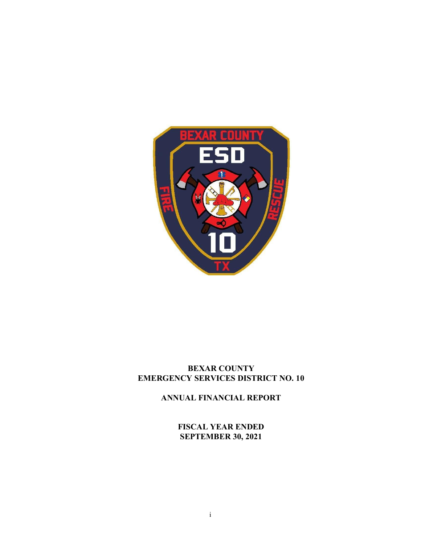

# **BEXAR COUNTY EMERGENCY SERVICES DISTRICT NO. 10**

 **ANNUAL FINANCIAL REPORT**

 **FISCAL YEAR ENDED SEPTEMBER 30, 2021**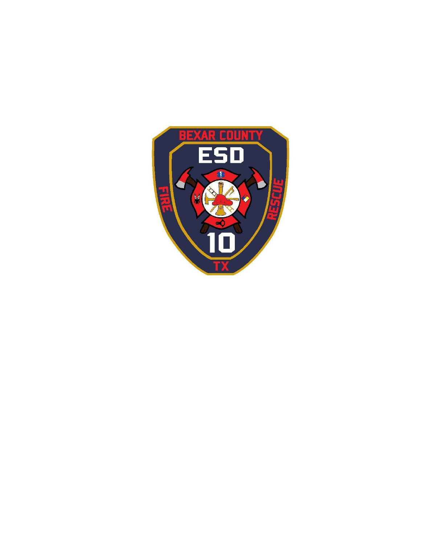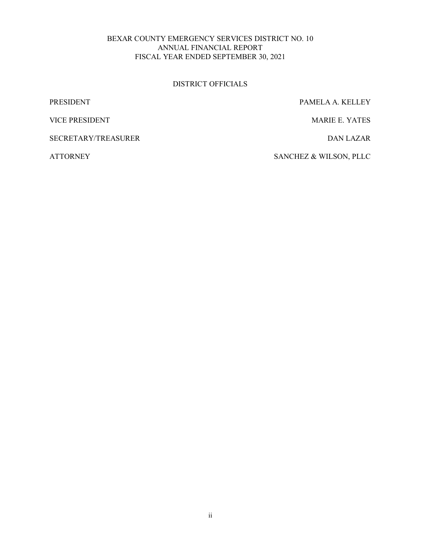# BEXAR COUNTY EMERGENCY SERVICES DISTRICT NO. 10 ANNUAL FINANCIAL REPORT FISCAL YEAR ENDED SEPTEMBER 30, 2021

# DISTRICT OFFICIALS

PRESIDENT PAMELA A. KELLEY

VICE PRESIDENT MARIE E. YATES

SECRETARY/TREASURER DAN LAZAR DAN LAZAR

ATTORNEY SANCHEZ & WILSON, PLLC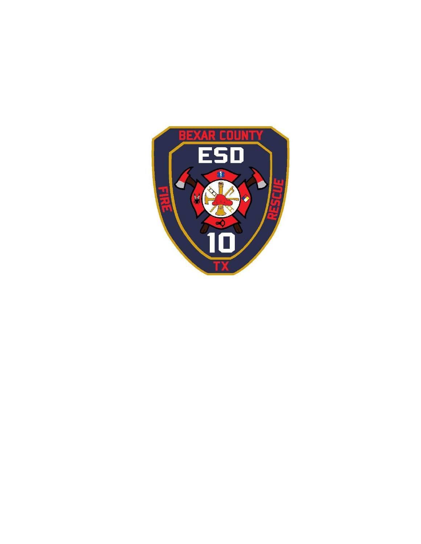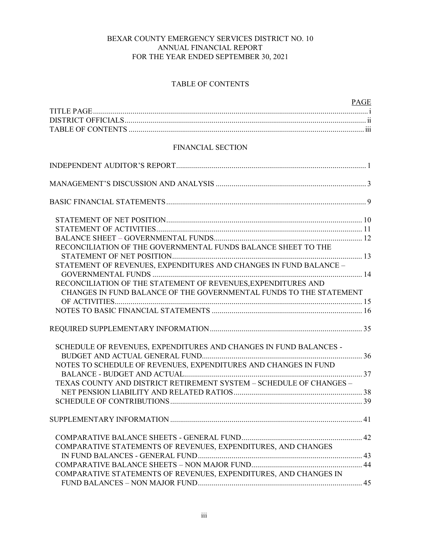# BEXAR COUNTY EMERGENCY SERVICES DISTRICT NO. 10 ANNUAL FINANCIAL REPORT FOR THE YEAR ENDED SEPTEMBER 30, 2021

# TABLE OF CONTENTS

|                                                                     | <b>PAGE</b> |
|---------------------------------------------------------------------|-------------|
|                                                                     |             |
|                                                                     |             |
|                                                                     |             |
|                                                                     |             |
| <b>FINANCIAL SECTION</b>                                            |             |
|                                                                     |             |
|                                                                     |             |
|                                                                     |             |
|                                                                     |             |
|                                                                     |             |
|                                                                     |             |
| RECONCILIATION OF THE GOVERNMENTAL FUNDS BALANCE SHEET TO THE       |             |
|                                                                     |             |
| STATEMENT OF REVENUES, EXPENDITURES AND CHANGES IN FUND BALANCE -   |             |
|                                                                     |             |
| RECONCILIATION OF THE STATEMENT OF REVENUES, EXPENDITURES AND       |             |
| CHANGES IN FUND BALANCE OF THE GOVERNMENTAL FUNDS TO THE STATEMENT  |             |
|                                                                     |             |
|                                                                     |             |
|                                                                     |             |
|                                                                     |             |
| SCHEDULE OF REVENUES, EXPENDITURES AND CHANGES IN FUND BALANCES -   |             |
|                                                                     |             |
| NOTES TO SCHEDULE OF REVENUES, EXPENDITURES AND CHANGES IN FUND     |             |
|                                                                     |             |
| TEXAS COUNTY AND DISTRICT RETIREMENT SYSTEM - SCHEDULE OF CHANGES - |             |
|                                                                     |             |
|                                                                     |             |
|                                                                     |             |
|                                                                     |             |
| COMPARATIVE STATEMENTS OF REVENUES, EXPENDITURES, AND CHANGES       |             |
|                                                                     |             |
|                                                                     |             |
| COMPARATIVE STATEMENTS OF REVENUES, EXPENDITURES, AND CHANGES IN    |             |
|                                                                     |             |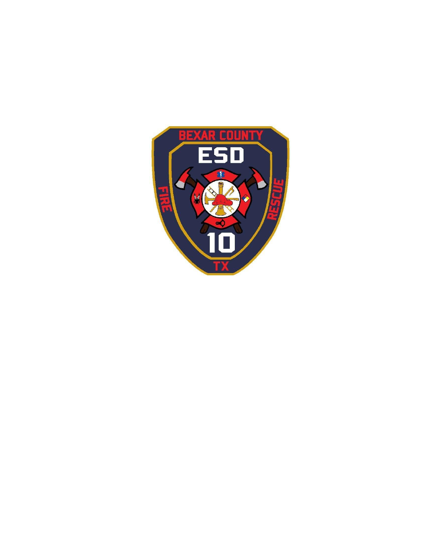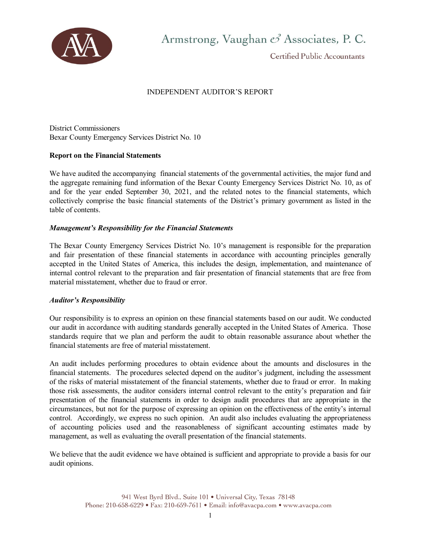

Armstrong, Vaughan & Associates, P. C.

**Certified Public Accountants** 

# INDEPENDENT AUDITOR'S REPORT

District Commissioners Bexar County Emergency Services District No. 10

### **Report on the Financial Statements**

We have audited the accompanying financial statements of the governmental activities, the major fund and the aggregate remaining fund information of the Bexar County Emergency Services District No. 10, as of and for the year ended September 30, 2021, and the related notes to the financial statements, which collectively comprise the basic financial statements of the District's primary government as listed in the table of contents.

### *Management's Responsibility for the Financial Statements*

The Bexar County Emergency Services District No. 10's management is responsible for the preparation and fair presentation of these financial statements in accordance with accounting principles generally accepted in the United States of America, this includes the design, implementation, and maintenance of internal control relevant to the preparation and fair presentation of financial statements that are free from material misstatement, whether due to fraud or error.

#### *Auditor's Responsibility*

Our responsibility is to express an opinion on these financial statements based on our audit. We conducted our audit in accordance with auditing standards generally accepted in the United States of America. Those standards require that we plan and perform the audit to obtain reasonable assurance about whether the financial statements are free of material misstatement.

An audit includes performing procedures to obtain evidence about the amounts and disclosures in the financial statements. The procedures selected depend on the auditor's judgment, including the assessment of the risks of material misstatement of the financial statements, whether due to fraud or error. In making those risk assessments, the auditor considers internal control relevant to the entity's preparation and fair presentation of the financial statements in order to design audit procedures that are appropriate in the circumstances, but not for the purpose of expressing an opinion on the effectiveness of the entity's internal control. Accordingly, we express no such opinion. An audit also includes evaluating the appropriateness of accounting policies used and the reasonableness of significant accounting estimates made by management, as well as evaluating the overall presentation of the financial statements.

We believe that the audit evidence we have obtained is sufficient and appropriate to provide a basis for our audit opinions.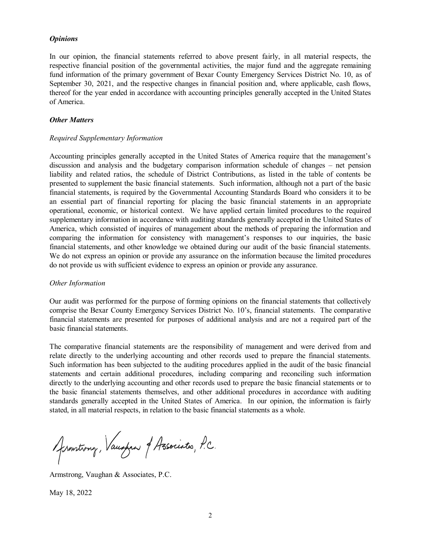#### *Opinions*

In our opinion, the financial statements referred to above present fairly, in all material respects, the respective financial position of the governmental activities, the major fund and the aggregate remaining fund information of the primary government of Bexar County Emergency Services District No. 10, as of September 30, 2021, and the respective changes in financial position and, where applicable, cash flows, thereof for the year ended in accordance with accounting principles generally accepted in the United States of America.

#### *Other Matters*

#### *Required Supplementary Information*

Accounting principles generally accepted in the United States of America require that the management's discussion and analysis and the budgetary comparison information schedule of changes – net pension liability and related ratios, the schedule of District Contributions, as listed in the table of contents be presented to supplement the basic financial statements. Such information, although not a part of the basic financial statements, is required by the Governmental Accounting Standards Board who considers it to be an essential part of financial reporting for placing the basic financial statements in an appropriate operational, economic, or historical context. We have applied certain limited procedures to the required supplementary information in accordance with auditing standards generally accepted in the United States of America, which consisted of inquires of management about the methods of preparing the information and comparing the information for consistency with management's responses to our inquiries, the basic financial statements, and other knowledge we obtained during our audit of the basic financial statements. We do not express an opinion or provide any assurance on the information because the limited procedures do not provide us with sufficient evidence to express an opinion or provide any assurance.

#### *Other Information*

Our audit was performed for the purpose of forming opinions on the financial statements that collectively comprise the Bexar County Emergency Services District No. 10's, financial statements. The comparative financial statements are presented for purposes of additional analysis and are not a required part of the basic financial statements.

The comparative financial statements are the responsibility of management and were derived from and relate directly to the underlying accounting and other records used to prepare the financial statements. Such information has been subjected to the auditing procedures applied in the audit of the basic financial statements and certain additional procedures, including comparing and reconciling such information directly to the underlying accounting and other records used to prepare the basic financial statements or to the basic financial statements themselves, and other additional procedures in accordance with auditing standards generally accepted in the United States of America. In our opinion, the information is fairly stated, in all material respects, in relation to the basic financial statements as a whole.

franting, Vauspen & Associates, P.C.

Armstrong, Vaughan & Associates, P.C.

May 18, 2022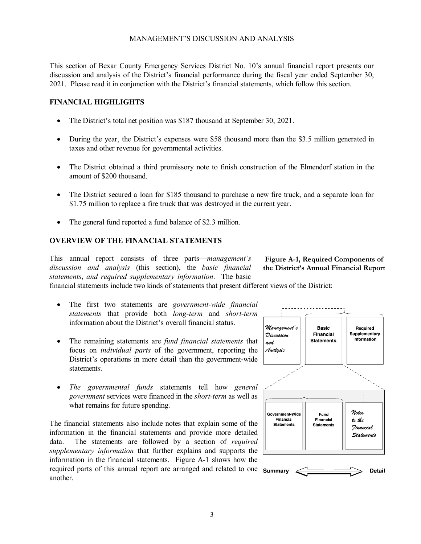#### MANAGEMENT'S DISCUSSION AND ANALYSIS

This section of Bexar County Emergency Services District No. 10's annual financial report presents our discussion and analysis of the District's financial performance during the fiscal year ended September 30, 2021. Please read it in conjunction with the District's financial statements, which follow this section.

## **FINANCIAL HIGHLIGHTS**

- The District's total net position was \$187 thousand at September 30, 2021.
- During the year, the District's expenses were \$58 thousand more than the \$3.5 million generated in taxes and other revenue for governmental activities.
- The District obtained a third promissory note to finish construction of the Elmendorf station in the amount of \$200 thousand.
- The District secured a loan for \$185 thousand to purchase a new fire truck, and a separate loan for \$1.75 million to replace a fire truck that was destroyed in the current year.
- The general fund reported a fund balance of \$2.3 million.

### **OVERVIEW OF THE FINANCIAL STATEMENTS**

This annual report consists of three parts—*management's discussion and analysis* (this section), the *basic financial statements*, *and required supplementary information*. The basic

financial statements include two kinds of statements that present different views of the District:

- · The first two statements are *government-wide financial statements* that provide both *long-term* and *short-term* information about the District's overall financial status.
- · The remaining statements are *fund financial statements* that focus on *individual parts* of the government, reporting the District's operations in more detail than the government-wide statement*s.*
- · *The governmental funds* statements tell how *general government* services were financed in the *short-term* as well as what remains for future spending.

The financial statements also include notes that explain some of the information in the financial statements and provide more detailed data. The statements are followed by a section of *required supplementary information* that further explains and supports the information in the financial statements. Figure A-1 shows how the required parts of this annual report are arranged and related to one summary another.

#### Management's **Basic** Required Supplementary Discussion **Financial** Information **Statements** and Analysis Notes Government-Wide **Eund** Financial to the Financial Statements Statements Financial Statements



**Figure A-1, Required Components of the District's Annual Financial Report**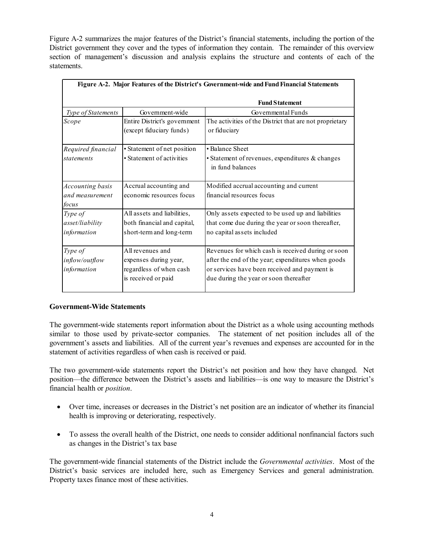Figure A-2 summarizes the major features of the District's financial statements, including the portion of the District government they cover and the types of information they contain. The remainder of this overview section of management's discussion and analysis explains the structure and contents of each of the statements.

|                                                     |                                                                                             | <b>Fund Statement</b>                                                                                                                                                                               |
|-----------------------------------------------------|---------------------------------------------------------------------------------------------|-----------------------------------------------------------------------------------------------------------------------------------------------------------------------------------------------------|
| Type of Statements                                  | Government-wide                                                                             | Governmental Funds                                                                                                                                                                                  |
| Scope                                               | Entire District's government<br>(except fiduciary funds)                                    | The activities of the District that are not proprietary<br>or fiduciary                                                                                                                             |
| Required financial<br>statements                    | • Statement of net position<br>· Statement of activities                                    | • Balance Sheet<br>· Statement of revenues, expenditures & changes<br>in fund balances                                                                                                              |
| <b>Accounting basis</b><br>and measurement<br>focus | Accrual accounting and<br>economic resources focus                                          | Modified accrual accounting and current<br>financial resources focus                                                                                                                                |
| Type of<br>asset/liability<br>information           | All assets and liabilities,<br>both financial and capital,<br>short-term and long-term      | Only assets expected to be used up and liabilities<br>that come due during the year or soon thereafter,<br>no capital assets included                                                               |
| Type of<br>inflow/outflow<br>information            | All revenues and<br>expenses during year,<br>regardless of when cash<br>is received or paid | Revenues for which cash is received during or soon<br>after the end of the year; expenditures when goods<br>or services have been received and payment is<br>due during the year or soon thereafter |

### **Government-Wide Statements**

The government-wide statements report information about the District as a whole using accounting methods similar to those used by private-sector companies. The statement of net position includes all of the government's assets and liabilities. All of the current year's revenues and expenses are accounted for in the statement of activities regardless of when cash is received or paid.

The two government-wide statements report the District's net position and how they have changed. Net position—the difference between the District's assets and liabilities—is one way to measure the District's financial health or *position*.

- · Over time, increases or decreases in the District's net position are an indicator of whether its financial health is improving or deteriorating, respectively.
- · To assess the overall health of the District, one needs to consider additional nonfinancial factors such as changes in the District's tax base

The government-wide financial statements of the District include the *Governmental activities*. Most of the District's basic services are included here, such as Emergency Services and general administration. Property taxes finance most of these activities.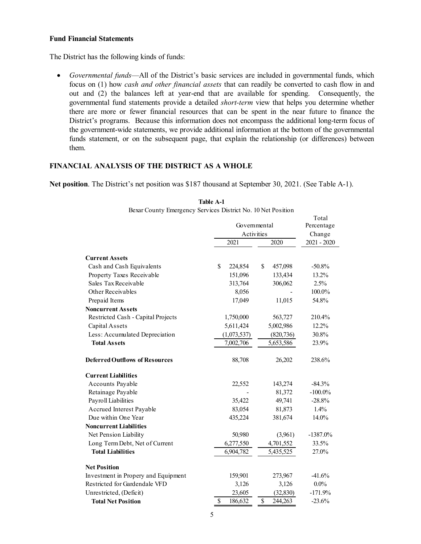#### **Fund Financial Statements**

The District has the following kinds of funds:

· *Governmental funds*—All of the District's basic services are included in governmental funds, which focus on (1) how *cash and other financial assets* that can readily be converted to cash flow in and out and (2) the balances left at year-end that are available for spending. Consequently, the governmental fund statements provide a detailed *short-term* view that helps you determine whether there are more or fewer financial resources that can be spent in the near future to finance the District's programs. Because this information does not encompass the additional long-term focus of the government-wide statements, we provide additional information at the bottom of the governmental funds statement, or on the subsequent page, that explain the relationship (or differences) between them.

### **FINANCIAL ANALYSIS OF THE DISTRICT AS A WHOLE**

**Net position**. The District's net position was \$187 thousand at September 30, 2021. (See Table A-1).

#### **Table A-1**

Bexar County Emergency Services District No. 10 Net Position

Total

|                                       | Governmental  |               | Percentage  |  |
|---------------------------------------|---------------|---------------|-------------|--|
|                                       | Activities    | Change        |             |  |
|                                       | 2021          | 2020          | 2021 - 2020 |  |
| <b>Current Assets</b>                 |               |               |             |  |
| Cash and Cash Equivalents             | \$<br>224,854 | \$<br>457,098 | $-50.8%$    |  |
| Property Taxes Receivable             | 151,096       | 133,434       | 13.2%       |  |
| Sales Tax Receivable                  | 313,764       | 306,062       | 2.5%        |  |
| Other Receivables                     | 8,056         |               | 100.0%      |  |
| Prepaid Items                         | 17,049        | 11,015        | 54.8%       |  |
| <b>Noncurrent Assets</b>              |               |               |             |  |
| Restricted Cash - Capital Projects    | 1,750,000     | 563,727       | 210.4%      |  |
| Capital Assets                        | 5,611,424     | 5,002,986     | 12.2%       |  |
| Less: Accumulated Depreciation        | (1,073,537)   | (820, 736)    | 30.8%       |  |
| <b>Total Assets</b>                   | 7,002,706     | 5,653,586     | 23.9%       |  |
| <b>Deferred Outflows of Resources</b> | 88,708        | 26,202        | 238.6%      |  |
| <b>Current Liabilities</b>            |               |               |             |  |
| Accounts Payable                      | 22,552        | 143,274       | $-84.3%$    |  |
| Retainage Payable                     |               | 81,372        | $-100.0\%$  |  |
| Payroll Liabilities                   | 35,422        | 49,741        | $-28.8%$    |  |
| Accrued Interest Payable              | 83,054        | 81,873        | 1.4%        |  |
| Due within One Year                   | 435,224       | 381,674       | 14.0%       |  |
| <b>Noncurrent Liabilities</b>         |               |               |             |  |
| Net Pension Liability                 | 50,980        | (3,961)       | $-1387.0\%$ |  |
| Long Term Debt, Net of Current        | 6,277,550     | 4,701,552     | 33.5%       |  |
| <b>Total Liabilities</b>              | 6,904,782     | 5,435,525     | 27.0%       |  |
| <b>Net Position</b>                   |               |               |             |  |
| Investment in Propery and Equipment   | 159,901       | 273,967       | $-41.6%$    |  |
| Restricted for Gardendale VFD         | 3,126         | 3,126         | $0.0\%$     |  |
| Unrestricted, (Deficit)               | 23,605        | (32, 830)     | $-171.9%$   |  |
| <b>Total Net Position</b>             | \$<br>186,632 | \$<br>244,263 | $-23.6%$    |  |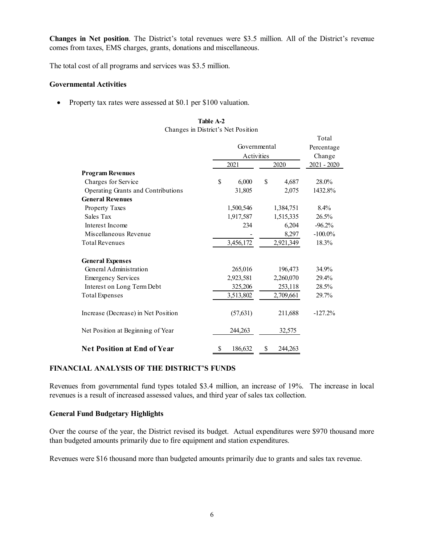**Changes in Net position**. The District's total revenues were \$3.5 million. All of the District's revenue comes from taxes, EMS charges, grants, donations and miscellaneous.

The total cost of all programs and services was \$3.5 million.

#### **Governmental Activities**

• Property tax rates were assessed at \$0.1 per \$100 valuation.

### **Table A-2** Changes in District's Net Position

Total

|                                     | Governmental<br>Activities |           |    |           | Percentage<br>Change |  |
|-------------------------------------|----------------------------|-----------|----|-----------|----------------------|--|
|                                     | 2021                       |           |    | 2020      | $2021 - 2020$        |  |
| <b>Program Revenues</b>             |                            |           |    |           |                      |  |
| Charges for Service                 | \$                         | 6,000     | \$ | 4,687     | 28.0%                |  |
| Operating Grants and Contributions  |                            | 31,805    |    | 2,075     | 1432.8%              |  |
| <b>General Revenues</b>             |                            |           |    |           |                      |  |
| Property Taxes                      |                            | 1,500,546 |    | 1,384,751 | $8.4\%$              |  |
| Sales Tax                           |                            | 1,917,587 |    | 1,515,335 | 26.5%                |  |
| Interest Income                     |                            | 234       |    | 6,204     | $-96.2%$             |  |
| Miscellaneous Revenue               |                            |           |    | 8,297     | $-100.0\%$           |  |
| <b>Total Revenues</b>               |                            | 3,456,172 |    | 2,921,349 | 18.3%                |  |
| <b>General Expenses</b>             |                            |           |    |           |                      |  |
| General Administration              |                            | 265,016   |    | 196,473   | 34.9%                |  |
| <b>Emergency Services</b>           |                            | 2,923,581 |    | 2,260,070 | 29.4%                |  |
| Interest on Long Term Debt          |                            | 325,206   |    | 253,118   | 28.5%                |  |
| <b>Total Expenses</b>               |                            | 3,513,802 |    | 2,709,661 | 29.7%                |  |
| Increase (Decrease) in Net Position |                            | (57, 631) |    | 211,688   | $-127.2%$            |  |
| Net Position at Beginning of Year   |                            | 244,263   |    | 32,575    |                      |  |
| <b>Net Position at End of Year</b>  | \$                         | 186,632   | \$ | 244,263   |                      |  |

### **FINANCIAL ANALYSIS OF THE DISTRICT'S FUNDS**

Revenues from governmental fund types totaled \$3.4 million, an increase of 19%. The increase in local revenues is a result of increased assessed values, and third year of sales tax collection.

#### **General Fund Budgetary Highlights**

Over the course of the year, the District revised its budget. Actual expenditures were \$970 thousand more than budgeted amounts primarily due to fire equipment and station expenditures.

Revenues were \$16 thousand more than budgeted amounts primarily due to grants and sales tax revenue.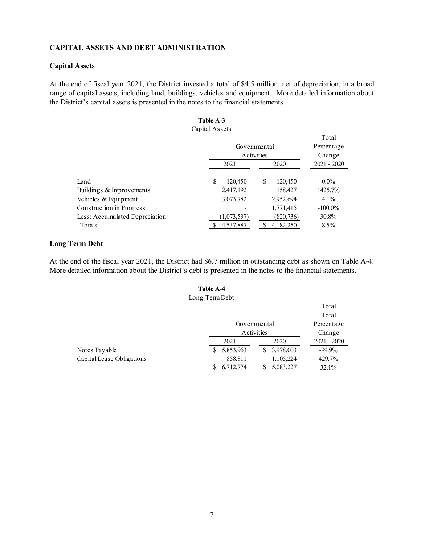### **CAPITAL ASSETS AND DEBT ADMINISTRATION**

### **Capital Assets**

At the end of fiscal year 2021, the District invested a total of \$4.5 million, net of depreciation, in a broad range of capital assets, including land, buildings, vehicles and equipment. More detailed information about the District's capital assets is presented in the notes to the financial statements.

# **Table A-3**

| Capital Assets |  |
|----------------|--|
|----------------|--|

|                                |              |               | Total      |  |
|--------------------------------|--------------|---------------|------------|--|
|                                |              | Governmental  |            |  |
|                                | Activities   |               | Change     |  |
|                                | 2021         | 2020          |            |  |
|                                |              |               |            |  |
| Land                           | S<br>120,450 | \$<br>120,450 | $0.0\%$    |  |
| Buildings & Improvements       | 2,417,192    | 158,427       | 1425.7%    |  |
| Vehicles & Equipment           | 3,073,782    | 2,952,694     | $4.1\%$    |  |
| Construction in Progress       |              | 1,771,415     | $-100.0\%$ |  |
| Less: Accumulated Depreciation | (1,073,537)  | (820, 736)    | 30.8%      |  |
| Totals                         | 4,537,887    | 4,182,250     | $8.5\%$    |  |

### **Long Term Debt**

At the end of the fiscal year 2021, the District had \$6.7 million in outstanding debt as shown on Table A-4. More detailed information about the District's debt is presented in the notes to the financial statements.

#### **Table A-4**

# Long-Term Debt

|                           |              |           | Total         |
|---------------------------|--------------|-----------|---------------|
|                           |              |           | Total         |
|                           | Governmental |           | Percentage    |
|                           | Activities   |           | Change        |
|                           | 2021         | 2020      | $2021 - 2020$ |
| Notes Payable             | 5,853,963    | 3,978,003 | $-99.9\%$     |
| Capital Lease Obligations | 858,811      | 1,105,224 | 429.7%        |
|                           | 6,712,774    | 5,083,227 | $32.1\%$      |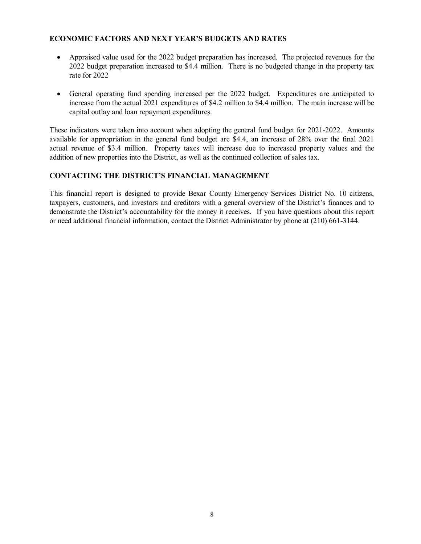### **ECONOMIC FACTORS AND NEXT YEAR'S BUDGETS AND RATES**

- Appraised value used for the 2022 budget preparation has increased. The projected revenues for the 2022 budget preparation increased to \$4.4 million. There is no budgeted change in the property tax rate for 2022
- · General operating fund spending increased per the 2022 budget. Expenditures are anticipated to increase from the actual 2021 expenditures of \$4.2 million to \$4.4 million. The main increase will be capital outlay and loan repayment expenditures.

These indicators were taken into account when adopting the general fund budget for 2021-2022. Amounts available for appropriation in the general fund budget are \$4.4, an increase of 28% over the final 2021 actual revenue of \$3.4 million. Property taxes will increase due to increased property values and the addition of new properties into the District, as well as the continued collection of sales tax.

# **CONTACTING THE DISTRICT'S FINANCIAL MANAGEMENT**

This financial report is designed to provide Bexar County Emergency Services District No. 10 citizens, taxpayers, customers, and investors and creditors with a general overview of the District's finances and to demonstrate the District's accountability for the money it receives. If you have questions about this report or need additional financial information, contact the District Administrator by phone at (210) 661-3144.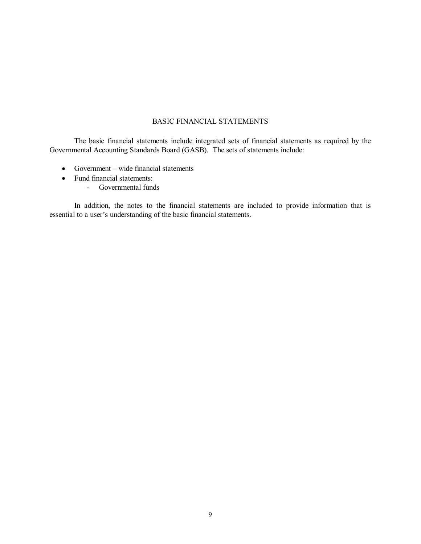# BASIC FINANCIAL STATEMENTS

The basic financial statements include integrated sets of financial statements as required by the Governmental Accounting Standards Board (GASB). The sets of statements include:

- · Government wide financial statements
- · Fund financial statements:
	- Governmental funds

In addition, the notes to the financial statements are included to provide information that is essential to a user's understanding of the basic financial statements.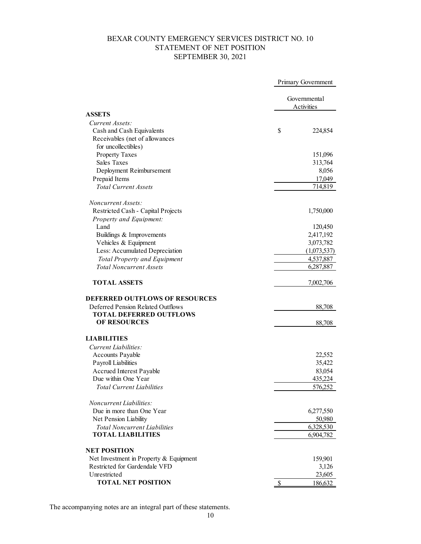# BEXAR COUNTY EMERGENCY SERVICES DISTRICT NO. 10 STATEMENT OF NET POSITION SEPTEMBER 30, 2021

|                                        |    | <b>Primary Government</b>  |  |  |
|----------------------------------------|----|----------------------------|--|--|
|                                        |    | Governmental<br>Activities |  |  |
| <b>ASSETS</b>                          |    |                            |  |  |
| Current Assets:                        |    |                            |  |  |
| Cash and Cash Equivalents              | \$ | 224,854                    |  |  |
| Receivables (net of allowances         |    |                            |  |  |
| for uncollectibles)                    |    |                            |  |  |
| Property Taxes                         |    | 151,096                    |  |  |
| Sales Taxes                            |    | 313,764                    |  |  |
| Deployment Reimbursement               |    | 8,056                      |  |  |
| Prepaid Items                          |    | 17,049                     |  |  |
| <b>Total Current Assets</b>            |    | 714,819                    |  |  |
| <i>Noncurrent Assets:</i>              |    |                            |  |  |
| Restricted Cash - Capital Projects     |    | 1,750,000                  |  |  |
| Property and Equipment:                |    |                            |  |  |
| Land                                   |    | 120,450                    |  |  |
| Buildings & Improvements               |    | 2,417,192                  |  |  |
| Vehicles & Equipment                   |    | 3,073,782                  |  |  |
| Less: Accumulated Depreciation         |    | (1,073,537)                |  |  |
| Total Property and Equipment           |    | 4,537,887                  |  |  |
| <b>Total Noncurrent Assets</b>         |    | 6,287,887                  |  |  |
| <b>TOTAL ASSETS</b>                    |    | 7,002,706                  |  |  |
| <b>DEFERRED OUTFLOWS OF RESOURCES</b>  |    |                            |  |  |
| Deferred Pension Related Outflows      |    | 88,708                     |  |  |
| <b>TOTAL DEFERRED OUTFLOWS</b>         |    |                            |  |  |
| <b>OF RESOURCES</b>                    |    | 88,708                     |  |  |
| <b>LIABILITIES</b>                     |    |                            |  |  |
| Current Liabilities:                   |    |                            |  |  |
| Accounts Payable                       |    | 22,552                     |  |  |
| Payroll Liabilities                    |    | 35,422                     |  |  |
| Accrued Interest Payable               |    | 83,054                     |  |  |
| Due within One Year                    |    | 435,224                    |  |  |
| <b>Total Current Liabilities</b>       |    | 576,252                    |  |  |
| <i>Noncurrent Liabilities:</i>         |    |                            |  |  |
| Due in more than One Year              |    | 6,277,550                  |  |  |
| Net Pension Liability                  |    | 50,980                     |  |  |
| <b>Total Noncurrent Liabilities</b>    |    | 6,328,530                  |  |  |
| <b>TOTAL LIABILITIES</b>               |    | 6,904,782                  |  |  |
| <b>NET POSITION</b>                    |    |                            |  |  |
| Net Investment in Property & Equipment |    | 159,901                    |  |  |
| Restricted for Gardendale VFD          |    | 3,126                      |  |  |
| Unrestricted                           |    | 23,605                     |  |  |
| <b>TOTAL NET POSITION</b>              | S  | 186,632                    |  |  |
|                                        |    |                            |  |  |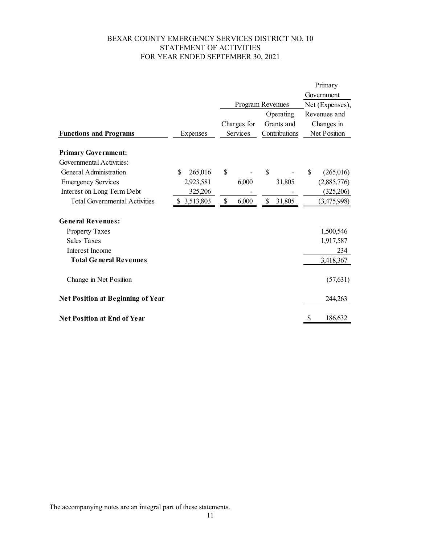# BEXAR COUNTY EMERGENCY SERVICES DISTRICT NO. 10 STATEMENT OF ACTIVITIES FOR YEAR ENDED SEPTEMBER 30, 2021

|                                                       |               |                  |               |           |              |                 | Primary      |  |
|-------------------------------------------------------|---------------|------------------|---------------|-----------|--------------|-----------------|--------------|--|
|                                                       |               |                  |               |           |              | Government      |              |  |
|                                                       |               | Program Revenues |               |           |              | Net (Expenses), |              |  |
|                                                       |               |                  |               | Operating |              |                 | Revenues and |  |
|                                                       |               |                  | Charges for   |           | Grants and   |                 | Changes in   |  |
| <b>Functions and Programs</b><br>Services<br>Expenses |               |                  | Contributions |           | Net Position |                 |              |  |
| <b>Primary Government:</b>                            |               |                  |               |           |              |                 |              |  |
| Governmental Activities:                              |               |                  |               |           |              |                 |              |  |
| General Administration                                | \$<br>265,016 | \$               |               | \$        |              | \$              | (265,016)    |  |
| <b>Emergency Services</b>                             | 2,923,581     |                  | 6,000         |           | 31,805       |                 | (2,885,776)  |  |
| Interest on Long Term Debt                            | 325,206       |                  |               |           |              |                 | (325,206)    |  |
| <b>Total Governmental Activities</b>                  | \$3,513,803   | \$               | 6,000         | \$        | 31,805       |                 | (3,475,998)  |  |
| <b>General Revenues:</b>                              |               |                  |               |           |              |                 |              |  |
| <b>Property Taxes</b>                                 |               |                  |               |           |              |                 | 1,500,546    |  |
| <b>Sales Taxes</b>                                    |               |                  |               |           |              |                 | 1,917,587    |  |
| Interest Income                                       |               |                  |               |           |              |                 | 234          |  |
| <b>Total General Revenues</b>                         |               |                  |               |           |              |                 | 3,418,367    |  |
| Change in Net Position                                |               |                  |               |           |              |                 | (57, 631)    |  |
| <b>Net Position at Beginning of Year</b>              |               |                  |               |           |              |                 | 244,263      |  |
| <b>Net Position at End of Year</b>                    |               |                  |               |           |              | \$              | 186,632      |  |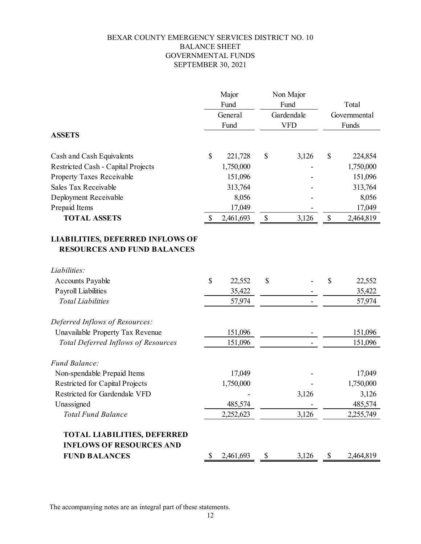# BEXAR COUNTY EMERGENCY SERVICES DISTRICT NO. 10 BALANCE SHEET GOVERNMENTAL FUNDS SEPTEMBER 30, 2021

|                                                                               |                           | Major<br>Fund<br>General<br>Fund |    | Non Major<br>Fund<br>Gardendale<br><b>VFD</b> |    | Total<br>Governmental<br>Funds |
|-------------------------------------------------------------------------------|---------------------------|----------------------------------|----|-----------------------------------------------|----|--------------------------------|
| <b>ASSETS</b>                                                                 |                           |                                  |    |                                               |    |                                |
| Cash and Cash Equivalents                                                     | \$                        | 221,728                          | \$ | 3,126                                         | \$ | 224,854                        |
| Restricted Cash - Capital Projects                                            |                           | 1,750,000                        |    |                                               |    | 1,750,000                      |
| <b>Property Taxes Receivable</b>                                              |                           | 151,096                          |    |                                               |    | 151,096                        |
| Sales Tax Receivable                                                          |                           | 313,764                          |    |                                               |    | 313,764                        |
| Deployment Receivable                                                         |                           | 8,056                            |    |                                               |    | 8,056                          |
| Prepaid Items                                                                 |                           | 17,049                           |    |                                               |    | 17,049                         |
| <b>TOTAL ASSETS</b>                                                           | $\boldsymbol{\mathsf{S}}$ | 2,461,693                        | \$ | 3,126                                         | \$ | 2,464,819                      |
| <b>LIABILITIES, DEFERRED INFLOWS OF</b><br><b>RESOURCES AND FUND BALANCES</b> |                           |                                  |    |                                               |    |                                |
| Liabilities:                                                                  |                           |                                  |    |                                               |    |                                |
| Accounts Payable                                                              | \$                        | 22,552                           | \$ |                                               | \$ | 22,552                         |
| <b>Payroll Liabilities</b>                                                    |                           | 35,422                           |    |                                               |    | 35,422                         |
| <b>Total Liabilities</b>                                                      |                           | 57,974                           |    |                                               |    | 57,974                         |
| Deferred Inflows of Resources:                                                |                           |                                  |    |                                               |    |                                |
| Unavailable Property Tax Revenue                                              |                           | 151,096                          |    |                                               |    | 151,096                        |
| <b>Total Deferred Inflows of Resources</b>                                    |                           | 151,096                          |    |                                               |    | 151,096                        |
| Fund Balance:                                                                 |                           |                                  |    |                                               |    |                                |
| Non-spendable Prepaid Items                                                   |                           | 17,049                           |    |                                               |    | 17,049                         |
| Restricted for Capital Projects                                               |                           | 1,750,000                        |    |                                               |    | 1,750,000                      |
| Restricted for Gardendale VFD                                                 |                           |                                  |    | 3,126                                         |    | 3,126                          |
| Unassigned                                                                    |                           | 485,574                          |    |                                               |    | 485,574                        |
| <b>Total Fund Balance</b>                                                     |                           | 2,252,623                        |    | 3,126                                         |    | 2,255,749                      |
| <b>TOTAL LIABILITIES, DEFERRED</b><br><b>INFLOWS OF RESOURCES AND</b>         |                           |                                  |    |                                               |    |                                |
| <b>FUND BALANCES</b>                                                          | \$                        | 2,461,693                        | \$ | 3,126                                         | \$ | 2,464,819                      |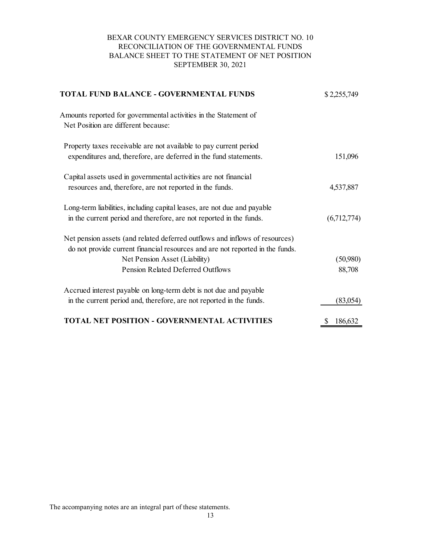# BEXAR COUNTY EMERGENCY SERVICES DISTRICT NO. 10 RECONCILIATION OF THE GOVERNMENTAL FUNDS BALANCE SHEET TO THE STATEMENT OF NET POSITION SEPTEMBER 30, 2021

| TOTAL FUND BALANCE - GOVERNMENTAL FUNDS                                                                 | \$2,255,749  |
|---------------------------------------------------------------------------------------------------------|--------------|
| Amounts reported for governmental activities in the Statement of<br>Net Position are different because: |              |
| Property taxes receivable are not available to pay current period                                       |              |
| expenditures and, therefore, are deferred in the fund statements.                                       | 151,096      |
| Capital assets used in governmental activities are not financial                                        |              |
| resources and, therefore, are not reported in the funds.                                                | 4,537,887    |
| Long-term liabilities, including capital leases, are not due and payable                                |              |
| in the current period and therefore, are not reported in the funds.                                     | (6,712,774)  |
| Net pension assets (and related deferred outflows and inflows of resources)                             |              |
| do not provide current financial resources and are not reported in the funds.                           |              |
| Net Pension Asset (Liability)                                                                           | (50,980)     |
| Pension Related Deferred Outflows                                                                       | 88,708       |
| Accrued interest payable on long-term debt is not due and payable                                       |              |
| in the current period and, therefore, are not reported in the funds.                                    | (83,054)     |
| <b>TOTAL NET POSITION - GOVERNMENTAL ACTIVITIES</b>                                                     | 186,632<br>S |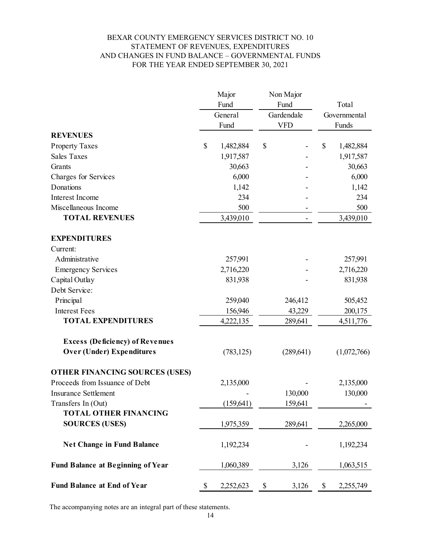# BEXAR COUNTY EMERGENCY SERVICES DISTRICT NO. 10 STATEMENT OF REVENUES, EXPENDITURES AND CHANGES IN FUND BALANCE – GOVERNMENTAL FUNDS FOR THE YEAR ENDED SEPTEMBER 30, 2021

|                                        | Major<br>Fund |                 | Non Major<br>Fund         |                          | Total<br>Governmental<br>Funds |             |
|----------------------------------------|---------------|-----------------|---------------------------|--------------------------|--------------------------------|-------------|
|                                        |               | General<br>Fund |                           | Gardendale<br><b>VFD</b> |                                |             |
| <b>REVENUES</b>                        |               |                 |                           |                          |                                |             |
| <b>Property Taxes</b>                  | \$            | 1,482,884       | \$                        |                          | \$                             | 1,482,884   |
| <b>Sales Taxes</b>                     |               | 1,917,587       |                           |                          |                                | 1,917,587   |
| Grants                                 |               | 30,663          |                           |                          |                                | 30,663      |
| Charges for Services                   |               | 6,000           |                           |                          |                                | 6,000       |
| Donations                              |               | 1,142           |                           |                          |                                | 1,142       |
| Interest Income                        |               | 234             |                           |                          |                                | 234         |
| Miscellaneous Income                   |               | 500             |                           |                          |                                | 500         |
| <b>TOTAL REVENUES</b>                  |               | 3,439,010       |                           |                          |                                | 3,439,010   |
| <b>EXPENDITURES</b>                    |               |                 |                           |                          |                                |             |
| Current:                               |               |                 |                           |                          |                                |             |
| Administrative                         |               | 257,991         |                           |                          |                                | 257,991     |
| <b>Emergency Services</b>              |               | 2,716,220       |                           |                          |                                | 2,716,220   |
| Capital Outlay                         |               | 831,938         |                           |                          |                                | 831,938     |
| Debt Service:                          |               |                 |                           |                          |                                |             |
| Principal                              |               | 259,040         |                           | 246,412                  |                                | 505,452     |
| <b>Interest Fees</b>                   |               | 156,946         |                           | 43,229                   |                                | 200,175     |
| <b>TOTAL EXPENDITURES</b>              |               | 4,222,135       |                           | 289,641                  |                                | 4,511,776   |
| <b>Excess (Deficiency) of Revenues</b> |               |                 |                           |                          |                                |             |
| <b>Over (Under) Expenditures</b>       |               | (783, 125)      |                           | (289, 641)               |                                | (1,072,766) |
| <b>OTHER FINANCING SOURCES (USES)</b>  |               |                 |                           |                          |                                |             |
| Proceeds from Issuance of Debt         |               | 2,135,000       |                           |                          |                                | 2,135,000   |
| <b>Insurance Settlement</b>            |               |                 |                           | 130,000                  |                                | 130,000     |
| Transfers In (Out)                     |               | (159, 641)      |                           | 159,641                  |                                |             |
| <b>TOTAL OTHER FINANCING</b>           |               |                 |                           |                          |                                |             |
| <b>SOURCES (USES)</b>                  |               | 1,975,359       |                           | 289,641                  |                                | 2,265,000   |
| <b>Net Change in Fund Balance</b>      |               | 1,192,234       |                           |                          |                                | 1,192,234   |
| Fund Balance at Beginning of Year      |               | 1,060,389       |                           | 3,126                    |                                | 1,063,515   |
| <b>Fund Balance at End of Year</b>     | \$            | 2,252,623       | $\boldsymbol{\mathsf{S}}$ | 3,126                    | \$                             | 2,255,749   |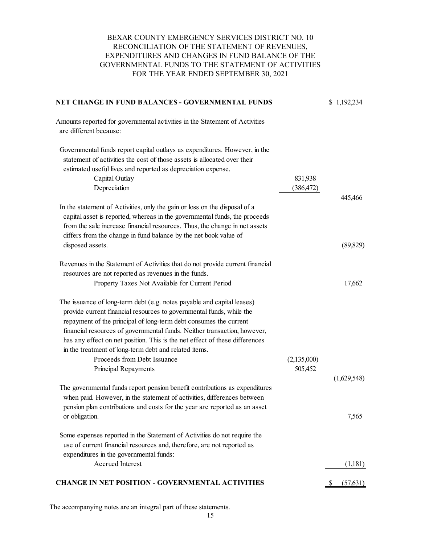# BEXAR COUNTY EMERGENCY SERVICES DISTRICT NO. 10 RECONCILIATION OF THE STATEMENT OF REVENUES, EXPENDITURES AND CHANGES IN FUND BALANCE OF THE GOVERNMENTAL FUNDS TO THE STATEMENT OF ACTIVITIES FOR THE YEAR ENDED SEPTEMBER 30, 2021

| NET CHANGE IN FUND BALANCES - GOVERNMENTAL FUNDS                                                                                                                                                                                                                                                                                                                                                                                                                                               |                        | \$1,192,234     |
|------------------------------------------------------------------------------------------------------------------------------------------------------------------------------------------------------------------------------------------------------------------------------------------------------------------------------------------------------------------------------------------------------------------------------------------------------------------------------------------------|------------------------|-----------------|
| Amounts reported for governmental activities in the Statement of Activities<br>are different because:                                                                                                                                                                                                                                                                                                                                                                                          |                        |                 |
| Governmental funds report capital outlays as expenditures. However, in the<br>statement of activities the cost of those assets is allocated over their<br>estimated useful lives and reported as depreciation expense.<br>Capital Outlay<br>Depreciation                                                                                                                                                                                                                                       | 831,938<br>(386, 472)  | 445,466         |
| In the statement of Activities, only the gain or loss on the disposal of a<br>capital asset is reported, whereas in the governmental funds, the proceeds<br>from the sale increase financial resources. Thus, the change in net assets<br>differs from the change in fund balance by the net book value of                                                                                                                                                                                     |                        |                 |
| disposed assets.                                                                                                                                                                                                                                                                                                                                                                                                                                                                               |                        | (89, 829)       |
| Revenues in the Statement of Activities that do not provide current financial<br>resources are not reported as revenues in the funds.<br>Property Taxes Not Available for Current Period                                                                                                                                                                                                                                                                                                       |                        | 17,662          |
| The issuance of long-term debt (e.g. notes payable and capital leases)<br>provide current financial resources to governmental funds, while the<br>repayment of the principal of long-term debt consumes the current<br>financial resources of governmental funds. Neither transaction, however,<br>has any effect on net position. This is the net effect of these differences<br>in the treatment of long-term debt and related items.<br>Proceeds from Debt Issuance<br>Principal Repayments | (2,135,000)<br>505,452 | (1,629,548)     |
| The governmental funds report pension benefit contributions as expenditures<br>when paid. However, in the statement of activities, differences between<br>pension plan contributions and costs for the year are reported as an asset<br>or obligation.                                                                                                                                                                                                                                         |                        | 7,565           |
| Some expenses reported in the Statement of Activities do not require the<br>use of current financial resources and, therefore, are not reported as<br>expenditures in the governmental funds:                                                                                                                                                                                                                                                                                                  |                        |                 |
| <b>Accrued Interest</b>                                                                                                                                                                                                                                                                                                                                                                                                                                                                        |                        | (1,181)         |
| <b>CHANGE IN NET POSITION - GOVERNMENTAL ACTIVITIES</b>                                                                                                                                                                                                                                                                                                                                                                                                                                        |                        | \$<br>(57, 631) |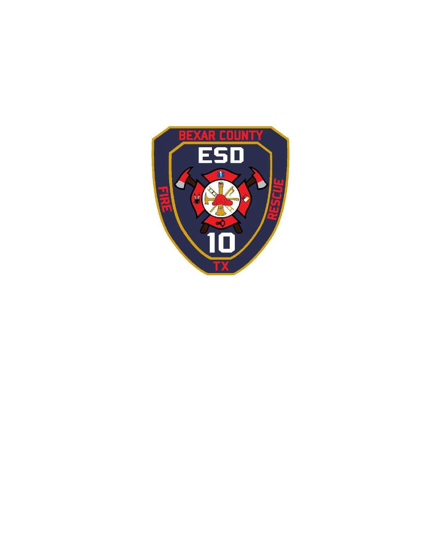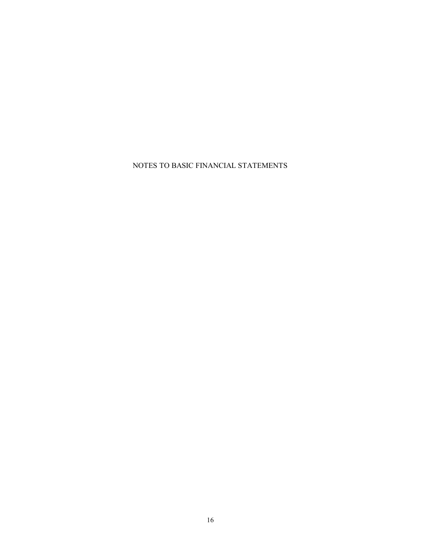NOTES TO BASIC FINANCIAL STATEMENTS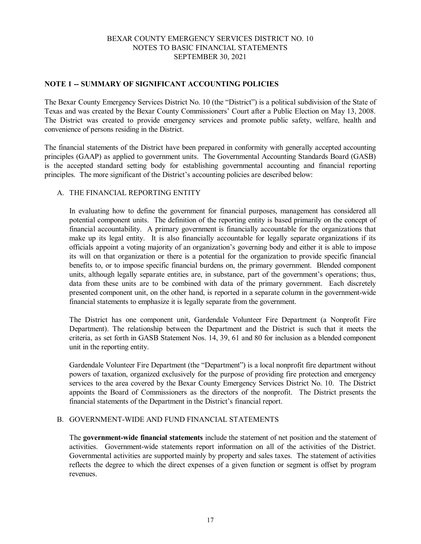## **NOTE 1 -- SUMMARY OF SIGNIFICANT ACCOUNTING POLICIES**

The Bexar County Emergency Services District No. 10 (the "District") is a political subdivision of the State of Texas and was created by the Bexar County Commissioners' Court after a Public Election on May 13, 2008. The District was created to provide emergency services and promote public safety, welfare, health and convenience of persons residing in the District.

The financial statements of the District have been prepared in conformity with generally accepted accounting principles (GAAP) as applied to government units. The Governmental Accounting Standards Board (GASB) is the accepted standard setting body for establishing governmental accounting and financial reporting principles. The more significant of the District's accounting policies are described below:

# A. THE FINANCIAL REPORTING ENTITY

In evaluating how to define the government for financial purposes, management has considered all potential component units. The definition of the reporting entity is based primarily on the concept of financial accountability. A primary government is financially accountable for the organizations that make up its legal entity. It is also financially accountable for legally separate organizations if its officials appoint a voting majority of an organization's governing body and either it is able to impose its will on that organization or there is a potential for the organization to provide specific financial benefits to, or to impose specific financial burdens on, the primary government. Blended component units, although legally separate entities are, in substance, part of the government's operations; thus, data from these units are to be combined with data of the primary government. Each discretely presented component unit, on the other hand, is reported in a separate column in the government-wide financial statements to emphasize it is legally separate from the government.

The District has one component unit, Gardendale Volunteer Fire Department (a Nonprofit Fire Department). The relationship between the Department and the District is such that it meets the criteria, as set forth in GASB Statement Nos. 14, 39, 61 and 80 for inclusion as a blended component unit in the reporting entity.

Gardendale Volunteer Fire Department (the "Department") is a local nonprofit fire department without powers of taxation, organized exclusively for the purpose of providing fire protection and emergency services to the area covered by the Bexar County Emergency Services District No. 10. The District appoints the Board of Commissioners as the directors of the nonprofit. The District presents the financial statements of the Department in the District's financial report.

### B. GOVERNMENT-WIDE AND FUND FINANCIAL STATEMENTS

The **government-wide financial statements** include the statement of net position and the statement of activities. Government-wide statements report information on all of the activities of the District. Governmental activities are supported mainly by property and sales taxes. The statement of activities reflects the degree to which the direct expenses of a given function or segment is offset by program revenues.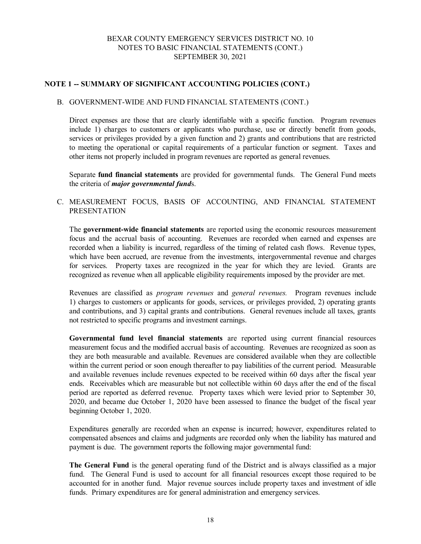## **NOTE 1 -- SUMMARY OF SIGNIFICANT ACCOUNTING POLICIES (CONT.)**

### B. GOVERNMENT-WIDE AND FUND FINANCIAL STATEMENTS (CONT.)

Direct expenses are those that are clearly identifiable with a specific function. Program revenues include 1) charges to customers or applicants who purchase, use or directly benefit from goods, services or privileges provided by a given function and 2) grants and contributions that are restricted to meeting the operational or capital requirements of a particular function or segment. Taxes and other items not properly included in program revenues are reported as general revenues.

Separate **fund financial statements** are provided for governmental funds. The General Fund meets the criteria of *major governmental fund*s.

## C. MEASUREMENT FOCUS, BASIS OF ACCOUNTING, AND FINANCIAL STATEMENT **PRESENTATION**

The **government-wide financial statements** are reported using the economic resources measurement focus and the accrual basis of accounting. Revenues are recorded when earned and expenses are recorded when a liability is incurred, regardless of the timing of related cash flows. Revenue types, which have been accrued, are revenue from the investments, intergovernmental revenue and charges for services. Property taxes are recognized in the year for which they are levied. Grants are recognized as revenue when all applicable eligibility requirements imposed by the provider are met.

Revenues are classified as *program revenues* and *general revenues.* Program revenues include 1) charges to customers or applicants for goods, services, or privileges provided, 2) operating grants and contributions, and 3) capital grants and contributions. General revenues include all taxes, grants not restricted to specific programs and investment earnings.

**Governmental fund level financial statements** are reported using current financial resources measurement focus and the modified accrual basis of accounting. Revenues are recognized as soon as they are both measurable and available. Revenues are considered available when they are collectible within the current period or soon enough thereafter to pay liabilities of the current period. Measurable and available revenues include revenues expected to be received within 60 days after the fiscal year ends. Receivables which are measurable but not collectible within 60 days after the end of the fiscal period are reported as deferred revenue. Property taxes which were levied prior to September 30, 2020, and became due October 1, 2020 have been assessed to finance the budget of the fiscal year beginning October 1, 2020.

Expenditures generally are recorded when an expense is incurred; however, expenditures related to compensated absences and claims and judgments are recorded only when the liability has matured and payment is due. The government reports the following major governmental fund:

**The General Fund** is the general operating fund of the District and is always classified as a major fund. The General Fund is used to account for all financial resources except those required to be accounted for in another fund. Major revenue sources include property taxes and investment of idle funds. Primary expenditures are for general administration and emergency services.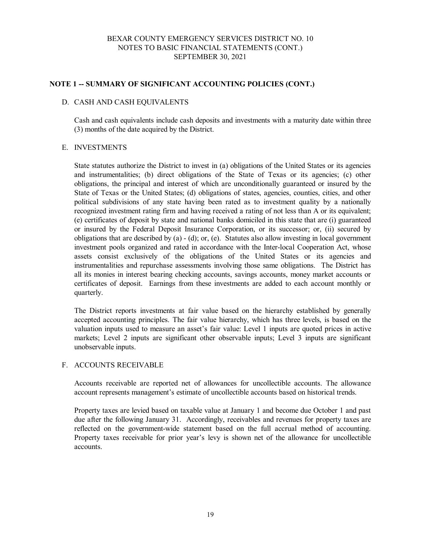### **NOTE 1 -- SUMMARY OF SIGNIFICANT ACCOUNTING POLICIES (CONT.)**

### D. CASH AND CASH EQUIVALENTS

Cash and cash equivalents include cash deposits and investments with a maturity date within three (3) months of the date acquired by the District.

### E. INVESTMENTS

State statutes authorize the District to invest in (a) obligations of the United States or its agencies and instrumentalities; (b) direct obligations of the State of Texas or its agencies; (c) other obligations, the principal and interest of which are unconditionally guaranteed or insured by the State of Texas or the United States; (d) obligations of states, agencies, counties, cities, and other political subdivisions of any state having been rated as to investment quality by a nationally recognized investment rating firm and having received a rating of not less than A or its equivalent; (e) certificates of deposit by state and national banks domiciled in this state that are (i) guaranteed or insured by the Federal Deposit Insurance Corporation, or its successor; or, (ii) secured by obligations that are described by (a) - (d); or, (e). Statutes also allow investing in local government investment pools organized and rated in accordance with the Inter-local Cooperation Act, whose assets consist exclusively of the obligations of the United States or its agencies and instrumentalities and repurchase assessments involving those same obligations. The District has all its monies in interest bearing checking accounts, savings accounts, money market accounts or certificates of deposit. Earnings from these investments are added to each account monthly or quarterly.

The District reports investments at fair value based on the hierarchy established by generally accepted accounting principles. The fair value hierarchy, which has three levels, is based on the valuation inputs used to measure an asset's fair value: Level 1 inputs are quoted prices in active markets; Level 2 inputs are significant other observable inputs; Level 3 inputs are significant unobservable inputs.

### F. ACCOUNTS RECEIVABLE

Accounts receivable are reported net of allowances for uncollectible accounts. The allowance account represents management's estimate of uncollectible accounts based on historical trends.

Property taxes are levied based on taxable value at January 1 and become due October 1 and past due after the following January 31. Accordingly, receivables and revenues for property taxes are reflected on the government-wide statement based on the full accrual method of accounting. Property taxes receivable for prior year's levy is shown net of the allowance for uncollectible accounts.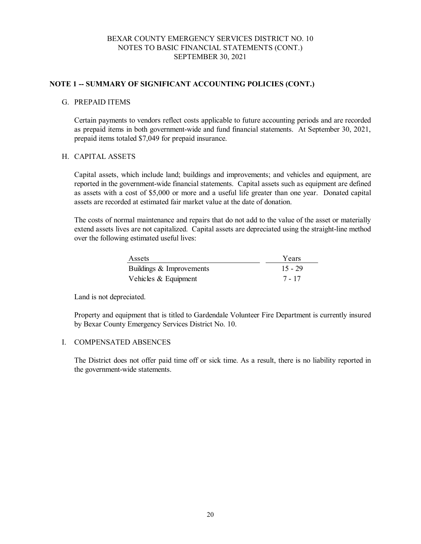### **NOTE 1 -- SUMMARY OF SIGNIFICANT ACCOUNTING POLICIES (CONT.)**

#### G. PREPAID ITEMS

Certain payments to vendors reflect costs applicable to future accounting periods and are recorded as prepaid items in both government-wide and fund financial statements. At September 30, 2021, prepaid items totaled \$7,049 for prepaid insurance.

#### H. CAPITAL ASSETS

Capital assets, which include land; buildings and improvements; and vehicles and equipment, are reported in the government-wide financial statements. Capital assets such as equipment are defined as assets with a cost of \$5,000 or more and a useful life greater than one year. Donated capital assets are recorded at estimated fair market value at the date of donation.

The costs of normal maintenance and repairs that do not add to the value of the asset or materially extend assets lives are not capitalized. Capital assets are depreciated using the straight-line method over the following estimated useful lives:

| Assets                   | Years     |
|--------------------------|-----------|
| Buildings & Improvements | $15 - 29$ |
| Vehicles & Equipment     | 7 - 17    |

Land is not depreciated.

Property and equipment that is titled to Gardendale Volunteer Fire Department is currently insured by Bexar County Emergency Services District No. 10.

#### I. COMPENSATED ABSENCES

The District does not offer paid time off or sick time. As a result, there is no liability reported in the government-wide statements.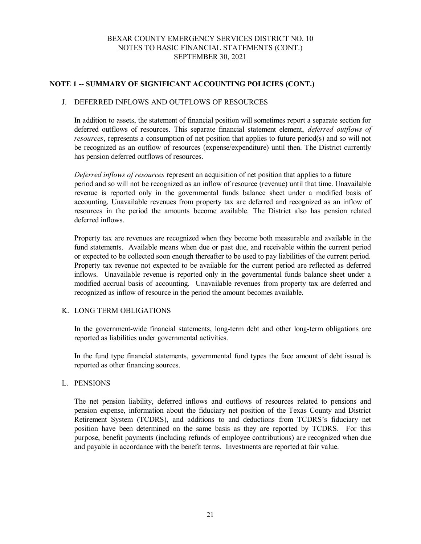## **NOTE 1 -- SUMMARY OF SIGNIFICANT ACCOUNTING POLICIES (CONT.)**

## J. DEFERRED INFLOWS AND OUTFLOWS OF RESOURCES

In addition to assets, the statement of financial position will sometimes report a separate section for deferred outflows of resources. This separate financial statement element, *deferred outflows of resources*, represents a consumption of net position that applies to future period(s) and so will not be recognized as an outflow of resources (expense/expenditure) until then. The District currently has pension deferred outflows of resources.

*Deferred inflows of resources* represent an acquisition of net position that applies to a future period and so will not be recognized as an inflow of resource (revenue) until that time. Unavailable revenue is reported only in the governmental funds balance sheet under a modified basis of accounting. Unavailable revenues from property tax are deferred and recognized as an inflow of resources in the period the amounts become available. The District also has pension related deferred inflows.

Property tax are revenues are recognized when they become both measurable and available in the fund statements. Available means when due or past due, and receivable within the current period or expected to be collected soon enough thereafter to be used to pay liabilities of the current period. Property tax revenue not expected to be available for the current period are reflected as deferred inflows. Unavailable revenue is reported only in the governmental funds balance sheet under a modified accrual basis of accounting. Unavailable revenues from property tax are deferred and recognized as inflow of resource in the period the amount becomes available.

### K. LONG TERM OBLIGATIONS

In the government-wide financial statements, long-term debt and other long-term obligations are reported as liabilities under governmental activities.

In the fund type financial statements, governmental fund types the face amount of debt issued is reported as other financing sources.

## L. PENSIONS

The net pension liability, deferred inflows and outflows of resources related to pensions and pension expense, information about the fiduciary net position of the Texas County and District Retirement System (TCDRS), and additions to and deductions from TCDRS's fiduciary net position have been determined on the same basis as they are reported by TCDRS. For this purpose, benefit payments (including refunds of employee contributions) are recognized when due and payable in accordance with the benefit terms. Investments are reported at fair value.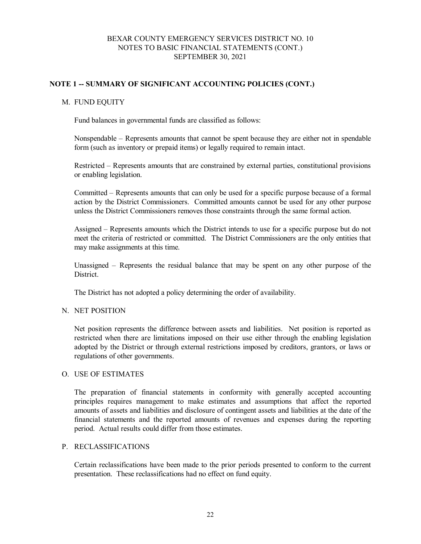## **NOTE 1 -- SUMMARY OF SIGNIFICANT ACCOUNTING POLICIES (CONT.)**

### M. FUND EQUITY

Fund balances in governmental funds are classified as follows:

Nonspendable – Represents amounts that cannot be spent because they are either not in spendable form (such as inventory or prepaid items) or legally required to remain intact.

Restricted – Represents amounts that are constrained by external parties, constitutional provisions or enabling legislation.

Committed – Represents amounts that can only be used for a specific purpose because of a formal action by the District Commissioners. Committed amounts cannot be used for any other purpose unless the District Commissioners removes those constraints through the same formal action.

Assigned – Represents amounts which the District intends to use for a specific purpose but do not meet the criteria of restricted or committed. The District Commissioners are the only entities that may make assignments at this time.

Unassigned – Represents the residual balance that may be spent on any other purpose of the District.

The District has not adopted a policy determining the order of availability.

#### N. NET POSITION

Net position represents the difference between assets and liabilities. Net position is reported as restricted when there are limitations imposed on their use either through the enabling legislation adopted by the District or through external restrictions imposed by creditors, grantors, or laws or regulations of other governments.

### O. USE OF ESTIMATES

The preparation of financial statements in conformity with generally accepted accounting principles requires management to make estimates and assumptions that affect the reported amounts of assets and liabilities and disclosure of contingent assets and liabilities at the date of the financial statements and the reported amounts of revenues and expenses during the reporting period. Actual results could differ from those estimates.

### P. RECLASSIFICATIONS

Certain reclassifications have been made to the prior periods presented to conform to the current presentation. These reclassifications had no effect on fund equity.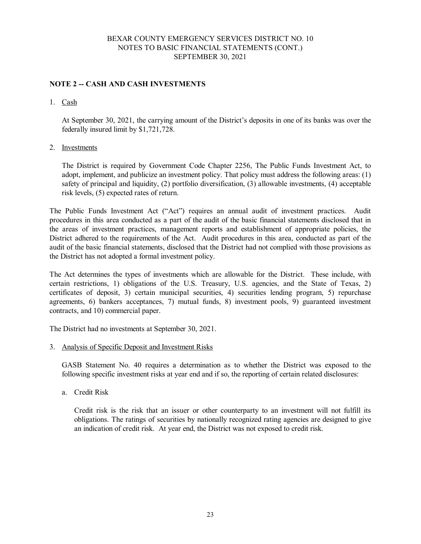# **NOTE 2 -- CASH AND CASH INVESTMENTS**

1. Cash

At September 30, 2021, the carrying amount of the District's deposits in one of its banks was over the federally insured limit by \$1,721,728.

# 2. Investments

The District is required by Government Code Chapter 2256, The Public Funds Investment Act, to adopt, implement, and publicize an investment policy. That policy must address the following areas: (1) safety of principal and liquidity, (2) portfolio diversification, (3) allowable investments, (4) acceptable risk levels, (5) expected rates of return.

The Public Funds Investment Act ("Act") requires an annual audit of investment practices. Audit procedures in this area conducted as a part of the audit of the basic financial statements disclosed that in the areas of investment practices, management reports and establishment of appropriate policies, the District adhered to the requirements of the Act. Audit procedures in this area, conducted as part of the audit of the basic financial statements, disclosed that the District had not complied with those provisions as the District has not adopted a formal investment policy.

The Act determines the types of investments which are allowable for the District. These include, with certain restrictions, 1) obligations of the U.S. Treasury, U.S. agencies, and the State of Texas, 2) certificates of deposit, 3) certain municipal securities, 4) securities lending program, 5) repurchase agreements, 6) bankers acceptances, 7) mutual funds, 8) investment pools, 9) guaranteed investment contracts, and 10) commercial paper.

The District had no investments at September 30, 2021.

3. Analysis of Specific Deposit and Investment Risks

GASB Statement No. 40 requires a determination as to whether the District was exposed to the following specific investment risks at year end and if so, the reporting of certain related disclosures:

a. Credit Risk

Credit risk is the risk that an issuer or other counterparty to an investment will not fulfill its obligations. The ratings of securities by nationally recognized rating agencies are designed to give an indication of credit risk. At year end, the District was not exposed to credit risk.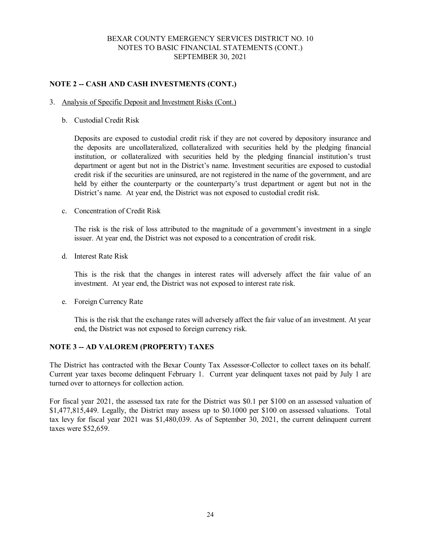# **NOTE 2 -- CASH AND CASH INVESTMENTS (CONT.)**

### 3. Analysis of Specific Deposit and Investment Risks (Cont.)

b. Custodial Credit Risk

Deposits are exposed to custodial credit risk if they are not covered by depository insurance and the deposits are uncollateralized, collateralized with securities held by the pledging financial institution, or collateralized with securities held by the pledging financial institution's trust department or agent but not in the District's name. Investment securities are exposed to custodial credit risk if the securities are uninsured, are not registered in the name of the government, and are held by either the counterparty or the counterparty's trust department or agent but not in the District's name. At year end, the District was not exposed to custodial credit risk.

c. Concentration of Credit Risk

The risk is the risk of loss attributed to the magnitude of a government's investment in a single issuer. At year end, the District was not exposed to a concentration of credit risk.

d. Interest Rate Risk

This is the risk that the changes in interest rates will adversely affect the fair value of an investment. At year end, the District was not exposed to interest rate risk.

e. Foreign Currency Rate

This is the risk that the exchange rates will adversely affect the fair value of an investment. At year end, the District was not exposed to foreign currency risk.

### **NOTE 3 -- AD VALOREM (PROPERTY) TAXES**

The District has contracted with the Bexar County Tax Assessor-Collector to collect taxes on its behalf. Current year taxes become delinquent February 1. Current year delinquent taxes not paid by July 1 are turned over to attorneys for collection action.

For fiscal year 2021, the assessed tax rate for the District was \$0.1 per \$100 on an assessed valuation of \$1,477,815,449. Legally, the District may assess up to \$0.1000 per \$100 on assessed valuations. Total tax levy for fiscal year 2021 was \$1,480,039. As of September 30, 2021, the current delinquent current taxes were \$52,659.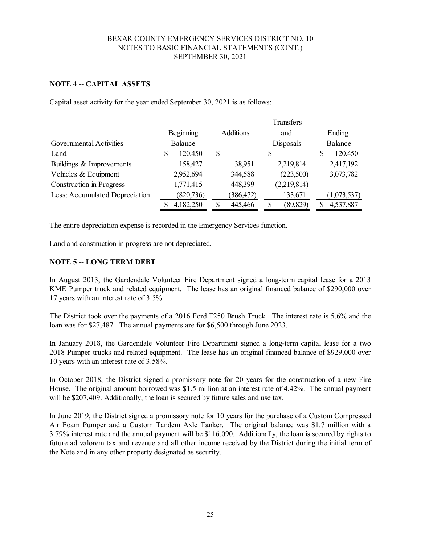## **NOTE 4 -- CAPITAL ASSETS**

Capital asset activity for the year ended September 30, 2021 is as follows:

|   |            | Transfers            |                          |                  |           |                                       |             |
|---|------------|----------------------|--------------------------|------------------|-----------|---------------------------------------|-------------|
|   |            |                      |                          |                  | and       |                                       | Ending      |
|   |            |                      |                          |                  |           |                                       | Balance     |
| S | 120,450    | \$                   | $\overline{\phantom{a}}$ | S                |           |                                       | 120,450     |
|   | 158,427    |                      | 38,951                   |                  |           |                                       | 2,417,192   |
|   | 2,952,694  |                      | 344,588                  |                  | (223,500) |                                       | 3,073,782   |
|   | 1,771,415  |                      | 448,399                  |                  |           |                                       |             |
|   | (820, 736) |                      | (386, 472)               |                  | 133,671   |                                       | (1,073,537) |
|   | 4,182,250  | ς                    | 445,466                  |                  | (89, 829) |                                       | 4,537,887   |
|   |            | Beginning<br>Balance |                          | <b>Additions</b> |           | Disposals<br>2,219,814<br>(2,219,814) |             |

The entire depreciation expense is recorded in the Emergency Services function.

Land and construction in progress are not depreciated.

# **NOTE 5 -- LONG TERM DEBT**

In August 2013, the Gardendale Volunteer Fire Department signed a long-term capital lease for a 2013 KME Pumper truck and related equipment. The lease has an original financed balance of \$290,000 over 17 years with an interest rate of 3.5%.

The District took over the payments of a 2016 Ford F250 Brush Truck. The interest rate is 5.6% and the loan was for \$27,487. The annual payments are for \$6,500 through June 2023.

In January 2018, the Gardendale Volunteer Fire Department signed a long-term capital lease for a two 2018 Pumper trucks and related equipment. The lease has an original financed balance of \$929,000 over 10 years with an interest rate of 3.58%.

In October 2018, the District signed a promissory note for 20 years for the construction of a new Fire House. The original amount borrowed was \$1.5 million at an interest rate of 4.42%. The annual payment will be \$207,409. Additionally, the loan is secured by future sales and use tax.

In June 2019, the District signed a promissory note for 10 years for the purchase of a Custom Compressed Air Foam Pumper and a Custom Tandem Axle Tanker. The original balance was \$1.7 million with a 3.79% interest rate and the annual payment will be \$116,090. Additionally, the loan is secured by rights to future ad valorem tax and revenue and all other income received by the District during the initial term of the Note and in any other property designated as security.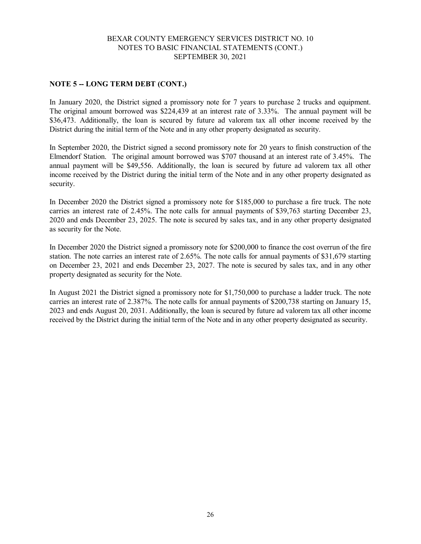# **NOTE 5 -- LONG TERM DEBT (CONT.)**

In January 2020, the District signed a promissory note for 7 years to purchase 2 trucks and equipment. The original amount borrowed was \$224,439 at an interest rate of 3.33%. The annual payment will be \$36,473. Additionally, the loan is secured by future ad valorem tax all other income received by the District during the initial term of the Note and in any other property designated as security.

In September 2020, the District signed a second promissory note for 20 years to finish construction of the Elmendorf Station. The original amount borrowed was \$707 thousand at an interest rate of 3.45%. The annual payment will be \$49,556. Additionally, the loan is secured by future ad valorem tax all other income received by the District during the initial term of the Note and in any other property designated as security.

In December 2020 the District signed a promissory note for \$185,000 to purchase a fire truck. The note carries an interest rate of 2.45%. The note calls for annual payments of \$39,763 starting December 23, 2020 and ends December 23, 2025. The note is secured by sales tax, and in any other property designated as security for the Note.

In December 2020 the District signed a promissory note for \$200,000 to finance the cost overrun of the fire station. The note carries an interest rate of 2.65%. The note calls for annual payments of \$31,679 starting on December 23, 2021 and ends December 23, 2027. The note is secured by sales tax, and in any other property designated as security for the Note.

In August 2021 the District signed a promissory note for \$1,750,000 to purchase a ladder truck. The note carries an interest rate of 2.387%. The note calls for annual payments of \$200,738 starting on January 15, 2023 and ends August 20, 2031. Additionally, the loan is secured by future ad valorem tax all other income received by the District during the initial term of the Note and in any other property designated as security.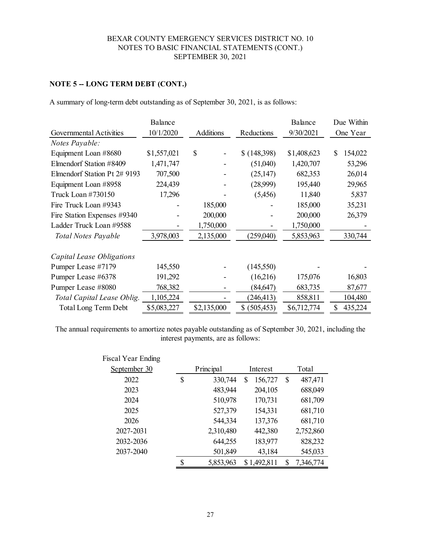# **NOTE 5 -- LONG TERM DEBT (CONT.)**

A summary of long-term debt outstanding as of September 30, 2021, is as follows:

|                              | Balance     |                  |                 | Balance     | Due Within    |
|------------------------------|-------------|------------------|-----------------|-------------|---------------|
| Governmental Activities      | 10/1/2020   | <b>Additions</b> | Reductions      | 9/30/2021   | One Year      |
| Notes Payable:               |             |                  |                 |             |               |
| Equipment Loan #8680         | \$1,557,021 | \$               | $$$ (148,398)   | \$1,408,623 | \$<br>154,022 |
| Elmendorf Station #8409      | 1,471,747   |                  | (51,040)        | 1,420,707   | 53,296        |
| Elmendorf Station Pt 2# 9193 | 707,500     |                  | (25, 147)       | 682,353     | 26,014        |
| Equipment Loan #8958         | 224,439     |                  | (28,999)        | 195,440     | 29,965        |
| Truck Loan #730150           | 17,296      |                  | (5,456)         | 11,840      | 5,837         |
| Fire Truck Loan #9343        |             | 185,000          |                 | 185,000     | 35,231        |
| Fire Station Expenses #9340  |             | 200,000          |                 | 200,000     | 26,379        |
| Ladder Truck Loan #9588      |             | 1,750,000        |                 | 1,750,000   |               |
| Total Notes Payable          | 3,978,003   | 2,135,000        | (259,040)       | 5,853,963   | 330,744       |
|                              |             |                  |                 |             |               |
| Capital Lease Obligations    |             |                  |                 |             |               |
| Pumper Lease #7179           | 145,550     |                  | (145,550)       |             |               |
| Pumper Lease #6378           | 191,292     |                  | (16,216)        | 175,076     | 16,803        |
| Pumper Lease #8080           | 768,382     |                  | (84,647)        | 683,735     | 87,677        |
| Total Capital Lease Oblig.   | 1,105,224   |                  | (246, 413)      | 858,811     | 104,480       |
| <b>Total Long Term Debt</b>  | \$5,083,227 | \$2,135,000      | (505, 453)<br>S | \$6,712,774 | 435,224<br>S  |

The annual requirements to amortize notes payable outstanding as of September 30, 2021, including the interest payments, are as follows:

| <b>Fiscal Year Ending</b> |                 |   |             |    |           |
|---------------------------|-----------------|---|-------------|----|-----------|
| September 30              | Principal       |   | Interest    |    | Total     |
| 2022                      | \$<br>330,744   | S | 156,727     | \$ | 487,471   |
| 2023                      | 483,944         |   | 204,105     |    | 688,049   |
| 2024                      | 510,978         |   | 170,731     |    | 681,709   |
| 2025                      | 527,379         |   | 154,331     |    | 681,710   |
| 2026                      | 544,334         |   | 137,376     |    | 681,710   |
| 2027-2031                 | 2,310,480       |   | 442,380     |    | 2,752,860 |
| 2032-2036                 | 644,255         |   | 183,977     |    | 828,232   |
| 2037-2040                 | 501,849         |   | 43,184      |    | 545,033   |
|                           | \$<br>5,853,963 |   | \$1,492,811 | S  | 7,346,774 |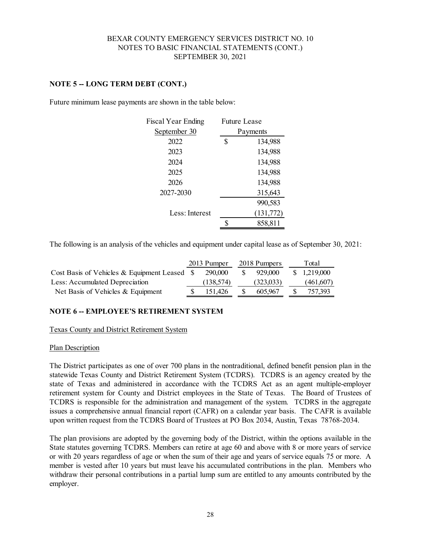# **NOTE 5 -- LONG TERM DEBT (CONT.)**

Future minimum lease payments are shown in the table below:

| Fiscal Year Ending | <b>Future Lease</b> |
|--------------------|---------------------|
| September 30       | Payments            |
| 2022               | \$<br>134,988       |
| 2023               | 134,988             |
| 2024               | 134,988             |
| 2025               | 134,988             |
| 2026               | 134,988             |
| 2027-2030          | 315,643             |
|                    | 990,583             |
| Less: Interest     | (131,772)           |
|                    | 858,811             |

The following is an analysis of the vehicles and equipment under capital lease as of September 30, 2021:

|                                               |           |             | 2018 Pumpers | Total       |
|-----------------------------------------------|-----------|-------------|--------------|-------------|
| Cost Basis of Vehicles & Equipment Leased $\$ | 290,000   |             | 929.000      | \$1.219,000 |
|                                               | (138,574) |             | (323,033)    | (461,607)   |
|                                               | 151.426   |             | 605,967      | 757.393     |
|                                               |           | 2013 Pumper |              |             |

# **NOTE 6 -- EMPLOYEE'S RETIREMENT SYSTEM**

#### Texas County and District Retirement System

#### **Plan Description**

The District participates as one of over 700 plans in the nontraditional, defined benefit pension plan in the statewide Texas County and District Retirement System (TCDRS). TCDRS is an agency created by the state of Texas and administered in accordance with the TCDRS Act as an agent multiple-employer retirement system for County and District employees in the State of Texas. The Board of Trustees of TCDRS is responsible for the administration and management of the system. TCDRS in the aggregate issues a comprehensive annual financial report (CAFR) on a calendar year basis. The CAFR is available upon written request from the TCDRS Board of Trustees at PO Box 2034, Austin, Texas 78768-2034.

The plan provisions are adopted by the governing body of the District, within the options available in the State statutes governing TCDRS. Members can retire at age 60 and above with 8 or more years of service or with 20 years regardless of age or when the sum of their age and years of service equals 75 or more. A member is vested after 10 years but must leave his accumulated contributions in the plan. Members who withdraw their personal contributions in a partial lump sum are entitled to any amounts contributed by the employer.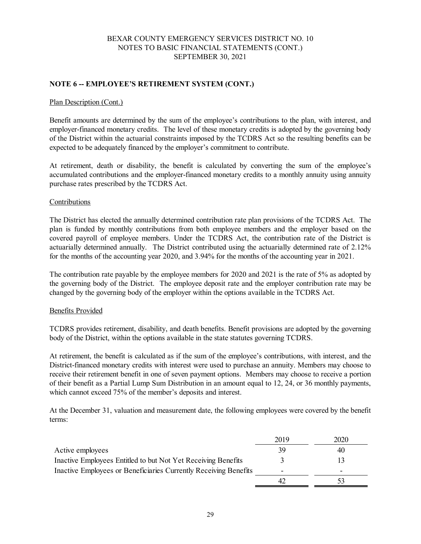## **NOTE 6 -- EMPLOYEE'S RETIREMENT SYSTEM (CONT.)**

### Plan Description (Cont.)

Benefit amounts are determined by the sum of the employee's contributions to the plan, with interest, and employer-financed monetary credits. The level of these monetary credits is adopted by the governing body of the District within the actuarial constraints imposed by the TCDRS Act so the resulting benefits can be expected to be adequately financed by the employer's commitment to contribute.

At retirement, death or disability, the benefit is calculated by converting the sum of the employee's accumulated contributions and the employer-financed monetary credits to a monthly annuity using annuity purchase rates prescribed by the TCDRS Act.

### Contributions

The District has elected the annually determined contribution rate plan provisions of the TCDRS Act. The plan is funded by monthly contributions from both employee members and the employer based on the covered payroll of employee members. Under the TCDRS Act, the contribution rate of the District is actuarially determined annually. The District contributed using the actuarially determined rate of 2.12% for the months of the accounting year 2020, and 3.94% for the months of the accounting year in 2021.

The contribution rate payable by the employee members for 2020 and 2021 is the rate of 5% as adopted by the governing body of the District. The employee deposit rate and the employer contribution rate may be changed by the governing body of the employer within the options available in the TCDRS Act.

### Benefits Provided

TCDRS provides retirement, disability, and death benefits. Benefit provisions are adopted by the governing body of the District, within the options available in the state statutes governing TCDRS.

At retirement, the benefit is calculated as if the sum of the employee's contributions, with interest, and the District-financed monetary credits with interest were used to purchase an annuity. Members may choose to receive their retirement benefit in one of seven payment options. Members may choose to receive a portion of their benefit as a Partial Lump Sum Distribution in an amount equal to 12, 24, or 36 monthly payments, which cannot exceed 75% of the member's deposits and interest.

At the December 31, valuation and measurement date, the following employees were covered by the benefit terms:

|                                                                  | 2019                     | 2020                     |
|------------------------------------------------------------------|--------------------------|--------------------------|
| Active employees                                                 | 39                       | 40                       |
| Inactive Employees Entitled to but Not Yet Receiving Benefits    |                          |                          |
| Inactive Employees or Beneficiaries Currently Receiving Benefits | $\overline{\phantom{0}}$ | $\overline{\phantom{0}}$ |
|                                                                  |                          |                          |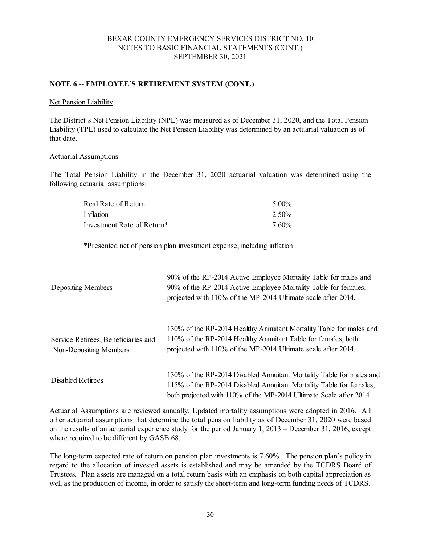## **NOTE 6 -- EMPLOYEE'S RETIREMENT SYSTEM (CONT.)**

### Net Pension Liability

The District's Net Pension Liability (NPL) was measured as of December 31, 2020, and the Total Pension Liability (TPL) used to calculate the Net Pension Liability was determined by an actuarial valuation as of that date.

### Actuarial Assumptions

The Total Pension Liability in the December 31, 2020 actuarial valuation was determined using the following actuarial assumptions:

| Real Rate of Return        | $5.00\%$ |
|----------------------------|----------|
| Inflation                  | 2.50%    |
| Investment Rate of Return* | $7.60\%$ |

\*Presented net of pension plan investment expense, including inflation

| <b>Depositing Members</b>                                     | 90% of the RP-2014 Active Employee Mortality Table for males and<br>90% of the RP-2014 Active Employee Mortality Table for females,<br>projected with 110% of the MP-2014 Ultimate scale after 2014.              |
|---------------------------------------------------------------|-------------------------------------------------------------------------------------------------------------------------------------------------------------------------------------------------------------------|
| Service Retirees, Beneficiaries and<br>Non-Depositing Members | 130% of the RP-2014 Healthy Annuitant Mortality Table for males and<br>110% of the RP-2014 Healthy Annuitant Table for females, both<br>projected with 110% of the MP-2014 Ultimate scale after 2014.             |
| Disabled Retirees                                             | 130% of the RP-2014 Disabled Annuitant Mortality Table for males and<br>115% of the RP-2014 Disabled Annuitant Mortality Table for females,<br>both projected with 110% of the MP-2014 Ultimate Scale after 2014. |

Actuarial Assumptions are reviewed annually. Updated mortality assumptions were adopted in 2016. All other actuarial assumptions that determine the total pension liability as of December 31, 2020 were based on the results of an actuarial experience study for the period January 1, 2013 – December 31, 2016, except where required to be different by GASB 68.

The long-term expected rate of return on pension plan investments is 7.60%. The pension plan's policy in regard to the allocation of invested assets is established and may be amended by the TCDRS Board of Trustees. Plan assets are managed on a total return basis with an emphasis on both capital appreciation as well as the production of income, in order to satisfy the short-term and long-term funding needs of TCDRS.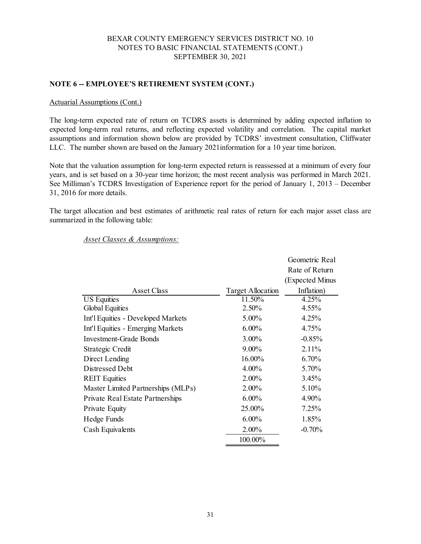### **NOTE 6 -- EMPLOYEE'S RETIREMENT SYSTEM (CONT.)**

### Actuarial Assumptions (Cont.)

The long-term expected rate of return on TCDRS assets is determined by adding expected inflation to expected long-term real returns, and reflecting expected volatility and correlation. The capital market assumptions and information shown below are provided by TCDRS' investment consultation, Cliffwater LLC. The number shown are based on the January 2021information for a 10 year time horizon.

Note that the valuation assumption for long-term expected return is reassessed at a minimum of every four years, and is set based on a 30-year time horizon; the most recent analysis was performed in March 2021. See Milliman's TCDRS Investigation of Experience report for the period of January 1, 2013 – December 31, 2016 for more details.

The target allocation and best estimates of arithmetic real rates of return for each major asset class are summarized in the following table:

|                                    |                          | Geometric Real  |
|------------------------------------|--------------------------|-----------------|
|                                    |                          | Rate of Return  |
|                                    |                          | (Expected Minus |
| Asset Class                        | <b>Target Allocation</b> | Inflation)      |
| <b>US</b> Equities                 | 11.50%                   | 4.25%           |
| Global Equities                    | 2.50%                    | 4.55%           |
| Int'l Equities - Developed Markets | $5.00\%$                 | 4.25%           |
| Int'l Equities - Emerging Markets  | $6.00\%$                 | 4.75%           |
| Investment-Grade Bonds             | $3.00\%$                 | $-0.85%$        |
| Strategic Credit                   | $9.00\%$                 | $2.11\%$        |
| Direct Lending                     | 16.00%                   | 6.70%           |
| Distressed Debt                    | 4.00%                    | 5.70%           |
| <b>REIT</b> Equities               | $2.00\%$                 | 3.45%           |
| Master Limited Partnerships (MLPs) | $2.00\%$                 | 5.10%           |
| Private Real Estate Partnerships   | $6.00\%$                 | 4.90%           |
| Private Equity                     | 25.00%                   | 7.25%           |
| Hedge Funds                        | $6.00\%$                 | 1.85%           |
| Cash Equivalents                   | 2.00%                    | $-0.70%$        |
|                                    | 100.00%                  |                 |

# *Asset Classes & Assumptions:*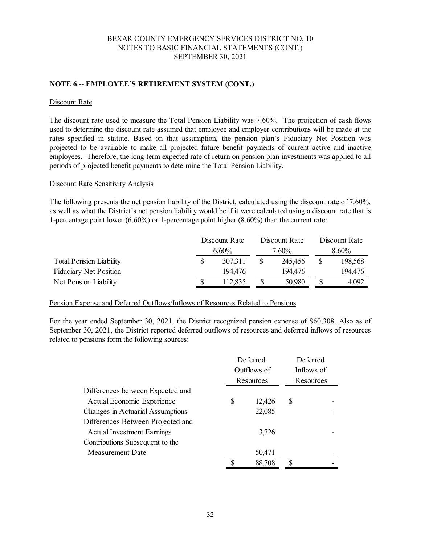## **NOTE 6 -- EMPLOYEE'S RETIREMENT SYSTEM (CONT.)**

### Discount Rate

The discount rate used to measure the Total Pension Liability was 7.60%. The projection of cash flows used to determine the discount rate assumed that employee and employer contributions will be made at the rates specified in statute. Based on that assumption, the pension plan's Fiduciary Net Position was projected to be available to make all projected future benefit payments of current active and inactive employees. Therefore, the long-term expected rate of return on pension plan investments was applied to all periods of projected benefit payments to determine the Total Pension Liability.

### Discount Rate Sensitivity Analysis

The following presents the net pension liability of the District, calculated using the discount rate of 7.60%, as well as what the District's net pension liability would be if it were calculated using a discount rate that is 1-percentage point lower (6.60%) or 1-percentage point higher (8.60%) than the current rate:

|                                | Discount Rate |         |       | Discount Rate |          | Discount Rate |
|--------------------------------|---------------|---------|-------|---------------|----------|---------------|
|                                | $6.60\%$      |         | 7.60% |               | $8.60\%$ |               |
| <b>Total Pension Liability</b> |               | 307.311 |       | 245,456       |          | 198,568       |
| <b>Fiduciary Net Position</b>  |               | 194,476 |       | 194,476       |          | 194,476       |
| Net Pension Liability          | S             | 112.835 |       | 50,980        |          | 4.092         |

### Pension Expense and Deferred Outflows/Inflows of Resources Related to Pensions

For the year ended September 30, 2021, the District recognized pension expense of \$60,308. Also as of September 30, 2021, the District reported deferred outflows of resources and deferred inflows of resources related to pensions form the following sources:

|                                   |           | Deferred<br>Outflows of |           | Deferred   |
|-----------------------------------|-----------|-------------------------|-----------|------------|
|                                   |           |                         |           | Inflows of |
|                                   | Resources |                         | Resources |            |
| Differences between Expected and  |           |                         |           |            |
| Actual Economic Experience        | S         | 12,426                  | \$        |            |
| Changes in Actuarial Assumptions  |           | 22,085                  |           |            |
| Differences Between Projected and |           |                         |           |            |
| <b>Actual Investment Earnings</b> |           | 3,726                   |           |            |
| Contributions Subsequent to the   |           |                         |           |            |
| <b>Measurement Date</b>           |           | 50,471                  |           |            |
|                                   |           | 88,708                  |           |            |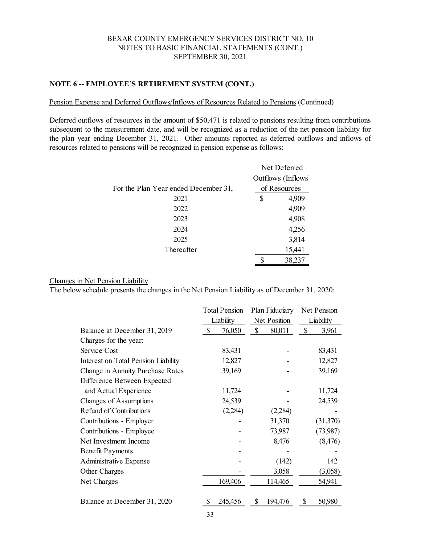### **NOTE 6 -- EMPLOYEE'S RETIREMENT SYSTEM (CONT.)**

# Pension Expense and Deferred Outflows/Inflows of Resources Related to Pensions (Continued)

Deferred outflows of resources in the amount of \$50,471 is related to pensions resulting from contributions subsequent to the measurement date, and will be recognized as a reduction of the net pension liability for the plan year ending December 31, 2021. Other amounts reported as deferred outflows and inflows of resources related to pensions will be recognized in pension expense as follows:

|                                      |    | Net Deferred       |
|--------------------------------------|----|--------------------|
|                                      |    | Outflows (Inflows) |
| For the Plan Year ended December 31, |    | of Resources       |
| 2021                                 | \$ | 4,909              |
| 2022                                 |    | 4,909              |
| 2023                                 |    | 4,908              |
| 2024                                 |    | 4,256              |
| 2025                                 |    | 3,814              |
| Thereafter                           |    | 15,441             |
|                                      |    | 38,237             |

# Changes in Net Pension Liability

The below schedule presents the changes in the Net Pension Liability as of December 31, 2020:

|                                     | <b>Total Pension</b> |         | Plan Fiduciary |         | Net Pension |           |
|-------------------------------------|----------------------|---------|----------------|---------|-------------|-----------|
|                                     | Liability            |         | Net Position   |         | Liability   |           |
| Balance at December 31, 2019        | S                    | 76,050  | \$             | 80,011  | \$          | 3,961     |
| Charges for the year:               |                      |         |                |         |             |           |
| Service Cost                        |                      | 83,431  |                |         |             | 83,431    |
| Interest on Total Pension Liability |                      | 12,827  |                |         |             | 12,827    |
| Change in Annuity Purchase Rates    |                      | 39,169  |                |         |             | 39,169    |
| Difference Between Expected         |                      |         |                |         |             |           |
| and Actual Experience               |                      | 11,724  |                |         |             | 11,724    |
| Changes of Assumptions              |                      | 24,539  |                |         |             | 24,539    |
| <b>Refund of Contributions</b>      |                      | (2,284) |                | (2,284) |             |           |
| Contributions - Employer            |                      |         |                | 31,370  |             | (31,370)  |
| Contributions - Employee            |                      |         |                | 73,987  |             | (73, 987) |
| Net Investment Income               |                      |         |                | 8,476   |             | (8, 476)  |
| <b>Benefit Payments</b>             |                      |         |                |         |             |           |
| Administrative Expense              |                      |         |                | (142)   |             | 142       |
| Other Charges                       |                      |         |                | 3,058   |             | (3,058)   |
| Net Charges                         |                      | 169,406 |                | 114,465 |             | 54,941    |
|                                     |                      |         |                |         |             |           |
| Balance at December 31, 2020        |                      | 245,456 | \$             | 194,476 | \$          | 50,980    |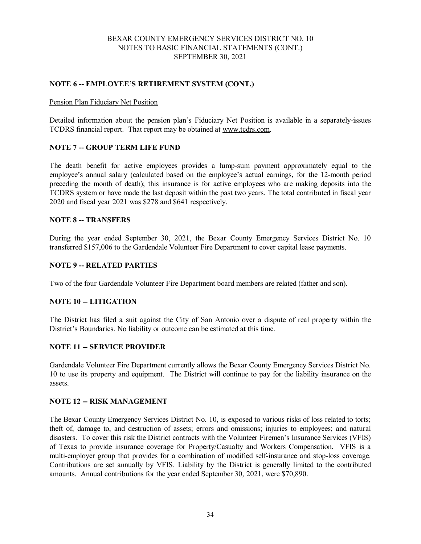### **NOTE 6 -- EMPLOYEE'S RETIREMENT SYSTEM (CONT.)**

#### Pension Plan Fiduciary Net Position

Detailed information about the pension plan's Fiduciary Net Position is available in a separately-issues TCDRS financial report. That report may be obtained at www.tcdrs.com.

### **NOTE 7 -- GROUP TERM LIFE FUND**

The death benefit for active employees provides a lump-sum payment approximately equal to the employee's annual salary (calculated based on the employee's actual earnings, for the 12-month period preceding the month of death); this insurance is for active employees who are making deposits into the TCDRS system or have made the last deposit within the past two years. The total contributed in fiscal year 2020 and fiscal year 2021 was \$278 and \$641 respectively.

#### **NOTE 8 -- TRANSFERS**

During the year ended September 30, 2021, the Bexar County Emergency Services District No. 10 transferred \$157,006 to the Gardendale Volunteer Fire Department to cover capital lease payments.

#### **NOTE 9 -- RELATED PARTIES**

Two of the four Gardendale Volunteer Fire Department board members are related (father and son).

#### **NOTE 10 -- LITIGATION**

The District has filed a suit against the City of San Antonio over a dispute of real property within the District's Boundaries. No liability or outcome can be estimated at this time.

#### **NOTE 11 -- SERVICE PROVIDER**

Gardendale Volunteer Fire Department currently allows the Bexar County Emergency Services District No. 10 to use its property and equipment. The District will continue to pay for the liability insurance on the assets.

#### **NOTE 12 -- RISK MANAGEMENT**

The Bexar County Emergency Services District No. 10, is exposed to various risks of loss related to torts; theft of, damage to, and destruction of assets; errors and omissions; injuries to employees; and natural disasters. To cover this risk the District contracts with the Volunteer Firemen's Insurance Services (VFIS) of Texas to provide insurance coverage for Property/Casualty and Workers Compensation. VFIS is a multi-employer group that provides for a combination of modified self-insurance and stop-loss coverage. Contributions are set annually by VFIS. Liability by the District is generally limited to the contributed amounts. Annual contributions for the year ended September 30, 2021, were \$70,890.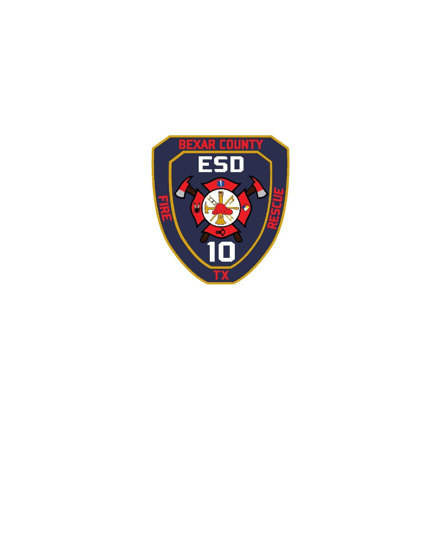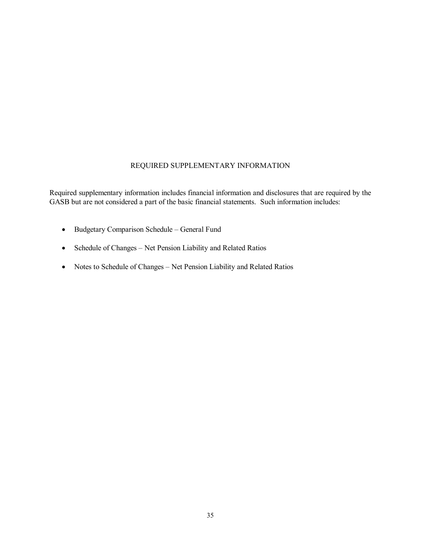# REQUIRED SUPPLEMENTARY INFORMATION

Required supplementary information includes financial information and disclosures that are required by the GASB but are not considered a part of the basic financial statements. Such information includes:

- · Budgetary Comparison Schedule General Fund
- · Schedule of Changes Net Pension Liability and Related Ratios
- · Notes to Schedule of Changes Net Pension Liability and Related Ratios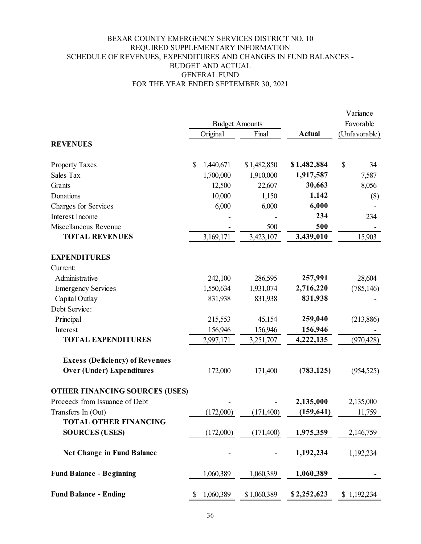# BEXAR COUNTY EMERGENCY SERVICES DISTRICT NO. 10 REQUIRED SUPPLEMENTARY INFORMATION SCHEDULE OF REVENUES, EXPENDITURES AND CHANGES IN FUND BALANCES - BUDGET AND ACTUAL GENERAL FUND FOR THE YEAR ENDED SEPTEMBER 30, 2021

|                                        | <b>Budget Amounts</b>      |             |               | Variance<br>Favorable<br>(Unfavorable) |  |
|----------------------------------------|----------------------------|-------------|---------------|----------------------------------------|--|
|                                        | Original                   | Final       | <b>Actual</b> |                                        |  |
| <b>REVENUES</b>                        |                            |             |               |                                        |  |
| <b>Property Taxes</b>                  | $\mathcal{S}$<br>1,440,671 | \$1,482,850 | \$1,482,884   | \$<br>34                               |  |
| Sales Tax                              | 1,700,000                  | 1,910,000   | 1,917,587     | 7,587                                  |  |
| Grants                                 | 12,500                     | 22,607      | 30,663        | 8,056                                  |  |
| Donations                              | 10,000                     | 1,150       | 1,142         | (8)                                    |  |
| Charges for Services                   | 6,000                      | 6,000       | 6,000         |                                        |  |
| Interest Income                        |                            |             | 234           | 234                                    |  |
| Miscellaneous Revenue                  |                            | 500         | 500           |                                        |  |
| <b>TOTAL REVENUES</b>                  | 3,169,171                  | 3,423,107   | 3,439,010     | 15,903                                 |  |
| <b>EXPENDITURES</b>                    |                            |             |               |                                        |  |
| Current:                               |                            |             |               |                                        |  |
| Administrative                         | 242,100                    | 286,595     | 257,991       | 28,604                                 |  |
| <b>Emergency Services</b>              | 1,550,634                  | 1,931,074   | 2,716,220     | (785, 146)                             |  |
| Capital Outlay                         | 831,938                    | 831,938     | 831,938       |                                        |  |
| Debt Service:                          |                            |             |               |                                        |  |
| Principal                              | 215,553                    | 45,154      | 259,040       | (213,886)                              |  |
| Interest                               | 156,946                    | 156,946     | 156,946       |                                        |  |
| <b>TOTAL EXPENDITURES</b>              | 2,997,171                  | 3,251,707   | 4,222,135     | (970, 428)                             |  |
| <b>Excess (Deficiency) of Revenues</b> |                            |             |               |                                        |  |
| <b>Over (Under) Expenditures</b>       | 172,000                    | 171,400     | (783, 125)    | (954, 525)                             |  |
| <b>OTHER FINANCING SOURCES (USES)</b>  |                            |             |               |                                        |  |
| Proceeds from Issuance of Debt         |                            |             | 2,135,000     | 2,135,000                              |  |
| Transfers In (Out)                     | (172,000)                  | (171,400)   | (159, 641)    | 11,759                                 |  |
| <b>TOTAL OTHER FINANCING</b>           |                            |             |               |                                        |  |
| <b>SOURCES (USES)</b>                  | (172,000)                  | (171,400)   | 1,975,359     | 2,146,759                              |  |
| <b>Net Change in Fund Balance</b>      |                            |             | 1,192,234     | 1,192,234                              |  |
| <b>Fund Balance - Beginning</b>        | 1,060,389                  | 1,060,389   | 1,060,389     |                                        |  |
| <b>Fund Balance - Ending</b>           | 1,060,389<br>\$            | \$1,060,389 | \$2,252,623   | \$1,192,234                            |  |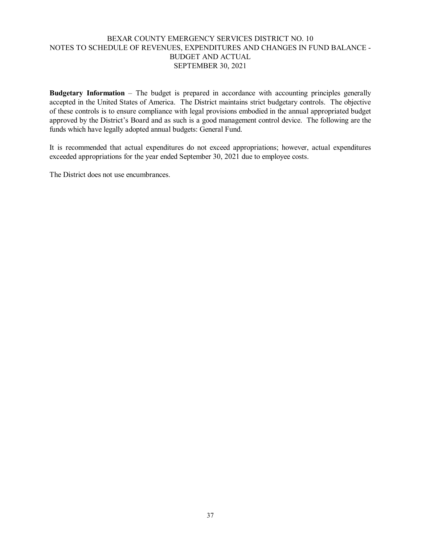# BEXAR COUNTY EMERGENCY SERVICES DISTRICT NO. 10 NOTES TO SCHEDULE OF REVENUES, EXPENDITURES AND CHANGES IN FUND BALANCE - BUDGET AND ACTUAL SEPTEMBER 30, 2021

**Budgetary Information** – The budget is prepared in accordance with accounting principles generally accepted in the United States of America. The District maintains strict budgetary controls. The objective of these controls is to ensure compliance with legal provisions embodied in the annual appropriated budget approved by the District's Board and as such is a good management control device. The following are the funds which have legally adopted annual budgets: General Fund.

It is recommended that actual expenditures do not exceed appropriations; however, actual expenditures exceeded appropriations for the year ended September 30, 2021 due to employee costs.

The District does not use encumbrances.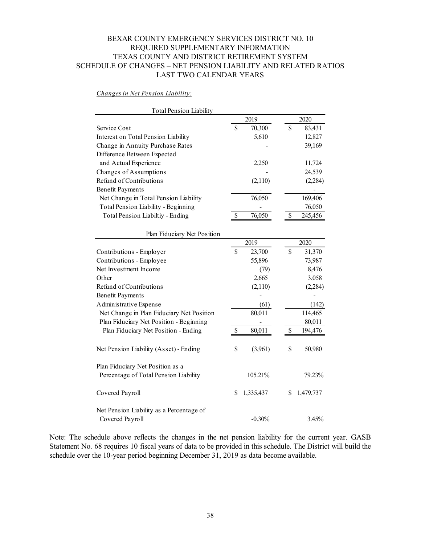# BEXAR COUNTY EMERGENCY SERVICES DISTRICT NO. 10 REQUIRED SUPPLEMENTARY INFORMATION TEXAS COUNTY AND DISTRICT RETIREMENT SYSTEM SCHEDULE OF CHANGES – NET PENSION LIABILITY AND RELATED RATIOS LAST TWO CALENDAR YEARS

| <b>Total Pension Liability</b>            |      |           |    |           |
|-------------------------------------------|------|-----------|----|-----------|
|                                           | 2019 |           |    | 2020      |
| Service Cost                              | \$   | 70,300    | \$ | 83,431    |
| Interest on Total Pension Liability       |      | 5,610     |    | 12,827    |
| Change in Annuity Purchase Rates          |      |           |    | 39,169    |
| Difference Between Expected               |      |           |    |           |
| and Actual Experience                     |      | 2,250     |    | 11,724    |
| Changes of Assumptions                    |      |           |    | 24,539    |
| Refund of Contributions                   |      | (2,110)   |    | (2, 284)  |
| <b>Benefit Payments</b>                   |      |           |    |           |
| Net Change in Total Pension Liability     |      | 76,050    |    | 169,406   |
| Total Pension Liability - Beginning       |      |           |    | 76,050    |
| Total Pension Liabiltiy - Ending          | \$   | 76,050    | \$ | 245,456   |
| Plan Fiduciary Net Position               |      |           |    |           |
|                                           |      | 2019      |    | 2020      |
| Contributions - Employer                  | \$   | 23,700    | \$ | 31,370    |
| Contributions - Employee                  |      | 55,896    |    | 73,987    |
| Net Investment Income                     |      | (79)      |    | 8,476     |
| Other                                     |      | 2,665     |    | 3,058     |
| Refund of Contributions                   |      | (2,110)   |    | (2, 284)  |
| <b>Benefit Payments</b>                   |      |           |    |           |
| Administrative Expense                    |      | (61)      |    | (142)     |
| Net Change in Plan Fiduciary Net Position |      | 80,011    |    | 114,465   |
| Plan Fiduciary Net Position - Beginning   |      |           |    | 80,011    |
| Plan Fiduciary Net Position - Ending      | \$   | 80,011    | \$ | 194,476   |
|                                           |      |           | \$ |           |
| Net Pension Liability (Asset) - Ending    | \$   | (3,961)   |    | 50,980    |
| Plan Fiduciary Net Position as a          |      |           |    |           |
| Percentage of Total Pension Liability     |      | 105.21%   |    | 79.23%    |
| Covered Payroll                           | \$   | 1,335,437 | S  | 1,479,737 |
| Net Pension Liability as a Percentage of  |      |           |    |           |
| Covered Payroll                           |      | $-0.30%$  |    | 3.45%     |

#### *Changes in Net Pension Liability:*

Note: The schedule above reflects the changes in the net pension liability for the current year. GASB Statement No. 68 requires 10 fiscal years of data to be provided in this schedule. The District will build the schedule over the 10-year period beginning December 31, 2019 as data become available.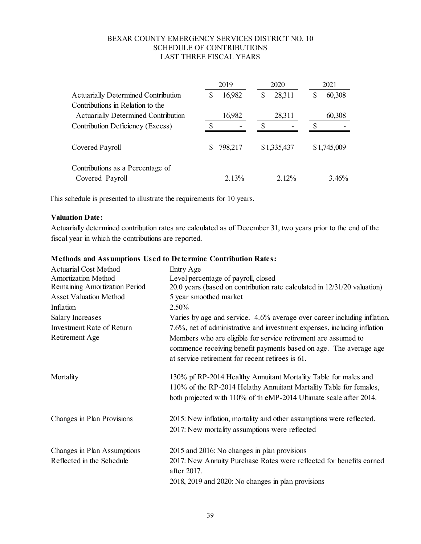# BEXAR COUNTY EMERGENCY SERVICES DISTRICT NO. 10 SCHEDULE OF CONTRIBUTIONS LAST THREE FISCAL YEARS

|                                            | 2019         | 2020         | 2021        |
|--------------------------------------------|--------------|--------------|-------------|
| <b>Actuarially Determined Contribution</b> | 16,982<br>\$ | 28,311<br>\$ | 60,308<br>S |
| Contributions in Relation to the           |              |              |             |
| <b>Actuarially Determined Contribution</b> | 16,982       | 28,311       | 60,308      |
| Contribution Deficiency (Excess)           |              |              |             |
| Covered Payroll                            | 798,217<br>S | \$1,335,437  | \$1,745,009 |
| Contributions as a Percentage of           |              |              |             |
| Covered Payroll                            | 2.13%        | 2.12%        | 3.46%       |

This schedule is presented to illustrate the requirements for 10 years.

# **Valuation Date:**

Actuarially determined contribution rates are calculated as of December 31, two years prior to the end of the fiscal year in which the contributions are reported.

| <b>Actuarial Cost Method</b>  | Entry Age                                                                                                                                                                                                   |
|-------------------------------|-------------------------------------------------------------------------------------------------------------------------------------------------------------------------------------------------------------|
| <b>Amortization Method</b>    | Level percentage of payroll, closed                                                                                                                                                                         |
| Remaining Amortization Period | 20.0 years (based on contribution rate calculated in 12/31/20 valuation)                                                                                                                                    |
| <b>Asset Valuation Method</b> | 5 year smoothed market                                                                                                                                                                                      |
| Inflation                     | 2.50%                                                                                                                                                                                                       |
| <b>Salary Increases</b>       | Varies by age and service. 4.6% average over career including inflation.                                                                                                                                    |
| Investment Rate of Return     | 7.6%, net of administrative and investment expenses, including inflation                                                                                                                                    |
| Retirement Age                | Members who are eligible for service retirement are assumed to<br>commence receiving benefit payments based on age. The average age<br>at service retirement for recent retirees is 61.                     |
| Mortality                     | 130% pf RP-2014 Healthy Annuitant Mortality Table for males and<br>110% of the RP-2014 Helathy Annuitant Martality Table for females,<br>both projected with 110% of the MP-2014 Ultimate scale after 2014. |
| Changes in Plan Provisions    | 2015: New inflation, mortality and other assumptions were reflected.                                                                                                                                        |
|                               | 2017: New mortality assumptions were reflected                                                                                                                                                              |
| Changes in Plan Assumptions   | 2015 and 2016: No changes in plan provisions                                                                                                                                                                |
| Reflected in the Schedule     | 2017: New Annuity Purchase Rates were reflected for benefits earned<br>after 2017.                                                                                                                          |
|                               | 2018, 2019 and 2020: No changes in plan provisions                                                                                                                                                          |

# **Methods and Assumptions Used to Determine Contribution Rates:**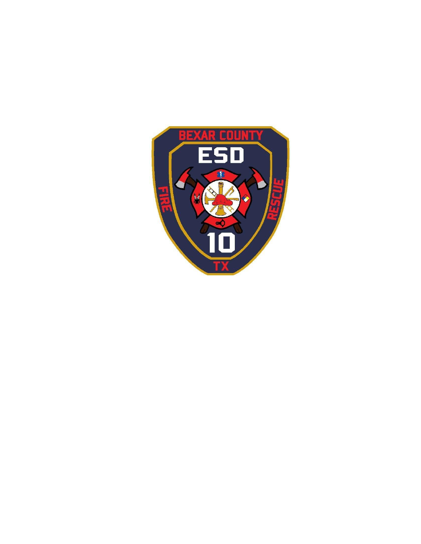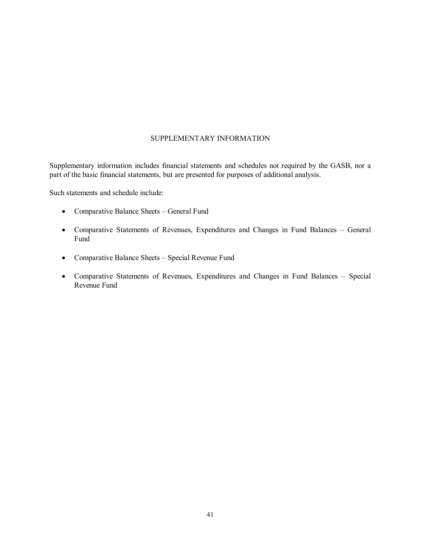### SUPPLEMENTARY INFORMATION

Supplementary information includes financial statements and schedules not required by the GASB, nor a part of the basic financial statements, but are presented for purposes of additional analysis.

Such statements and schedule include:

- · Comparative Balance Sheets General Fund
- · Comparative Statements of Revenues, Expenditures and Changes in Fund Balances General Fund
- · Comparative Balance Sheets Special Revenue Fund
- · Comparative Statements of Revenues, Expenditures and Changes in Fund Balances Special Revenue Fund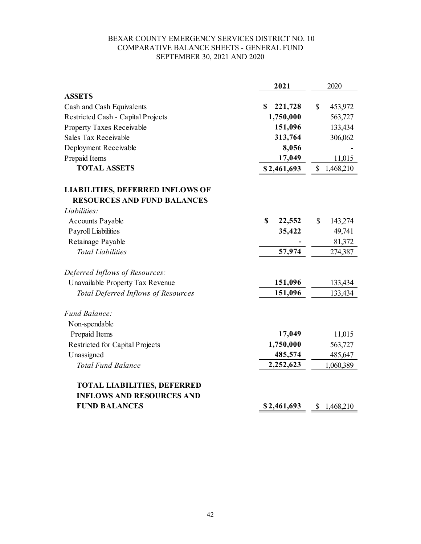# BEXAR COUNTY EMERGENCY SERVICES DISTRICT NO. 10 COMPARATIVE BALANCE SHEETS - GENERAL FUND SEPTEMBER 30, 2021 AND 2020

|                                                                               | 2021          | 2020            |
|-------------------------------------------------------------------------------|---------------|-----------------|
| <b>ASSETS</b>                                                                 |               |                 |
| Cash and Cash Equivalents                                                     | 221,728<br>\$ | \$<br>453,972   |
| Restricted Cash - Capital Projects                                            | 1,750,000     | 563,727         |
| <b>Property Taxes Receivable</b>                                              | 151,096       | 133,434         |
| Sales Tax Receivable                                                          | 313,764       | 306,062         |
| Deployment Receivable                                                         | 8,056         |                 |
| Prepaid Items                                                                 | 17,049        | 11,015          |
| <b>TOTAL ASSETS</b>                                                           | \$2,461,693   | \$<br>1,468,210 |
| <b>LIABILITIES, DEFERRED INFLOWS OF</b><br><b>RESOURCES AND FUND BALANCES</b> |               |                 |
| Liabilities:                                                                  |               |                 |
| <b>Accounts Payable</b>                                                       | \$<br>22,552  | \$<br>143,274   |
| <b>Payroll Liabilities</b>                                                    | 35,422        | 49,741          |
| Retainage Payable                                                             |               | 81,372          |
| <b>Total Liabilities</b>                                                      | 57,974        | 274,387         |
| Deferred Inflows of Resources:                                                |               |                 |
| Unavailable Property Tax Revenue                                              | 151,096       | 133,434         |
| <b>Total Deferred Inflows of Resources</b>                                    | 151,096       | 133,434         |
| Fund Balance:                                                                 |               |                 |
| Non-spendable                                                                 |               |                 |
| Prepaid Items                                                                 | 17,049        | 11,015          |
| Restricted for Capital Projects                                               | 1,750,000     | 563,727         |
| Unassigned                                                                    | 485,574       | 485,647         |
| <b>Total Fund Balance</b>                                                     | 2,252,623     | 1,060,389       |
| <b>TOTAL LIABILITIES, DEFERRED</b>                                            |               |                 |
| <b>INFLOWS AND RESOURCES AND</b>                                              |               |                 |
| <b>FUND BALANCES</b>                                                          | \$2,461,693   | 1,468,210<br>\$ |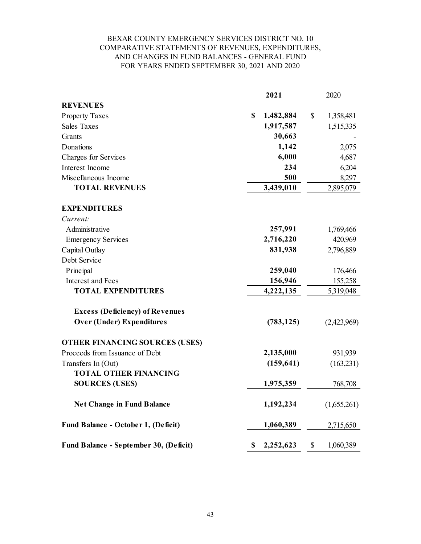# BEXAR COUNTY EMERGENCY SERVICES DISTRICT NO. 10 COMPARATIVE STATEMENTS OF REVENUES, EXPENDITURES, AND CHANGES IN FUND BALANCES - GENERAL FUND FOR YEARS ENDED SEPTEMBER 30, 2021 AND 2020

|                                            | 2021 |            |    |             |
|--------------------------------------------|------|------------|----|-------------|
| <b>REVENUES</b>                            |      |            |    |             |
| <b>Property Taxes</b>                      | \$   | 1,482,884  | \$ | 1,358,481   |
| <b>Sales Taxes</b>                         |      | 1,917,587  |    | 1,515,335   |
| Grants                                     |      | 30,663     |    |             |
| Donations                                  |      | 1,142      |    | 2,075       |
| Charges for Services                       |      | 6,000      |    | 4,687       |
| Interest Income                            |      | 234        |    | 6,204       |
| Miscellaneous Income                       |      | 500        |    | 8,297       |
| <b>TOTAL REVENUES</b>                      |      | 3,439,010  |    | 2,895,079   |
| <b>EXPENDITURES</b>                        |      |            |    |             |
| Current:                                   |      |            |    |             |
| Administrative                             |      | 257,991    |    | 1,769,466   |
| <b>Emergency Services</b>                  |      | 2,716,220  |    | 420,969     |
| Capital Outlay                             |      | 831,938    |    | 2,796,889   |
| Debt Service                               |      |            |    |             |
| Principal                                  |      | 259,040    |    | 176,466     |
| <b>Interest and Fees</b>                   |      | 156,946    |    | 155,258     |
| <b>TOTAL EXPENDITURES</b>                  |      | 4,222,135  |    | 5,319,048   |
| <b>Excess (Deficiency) of Revenues</b>     |      |            |    |             |
| <b>Over (Under) Expenditures</b>           |      | (783, 125) |    | (2,423,969) |
| <b>OTHER FINANCING SOURCES (USES)</b>      |      |            |    |             |
| Proceeds from Issuance of Debt             |      | 2,135,000  |    | 931,939     |
| Transfers In (Out)                         |      | (159, 641) |    | (163,231)   |
| <b>TOTAL OTHER FINANCING</b>               |      |            |    |             |
| <b>SOURCES (USES)</b>                      |      | 1,975,359  |    | 768,708     |
| <b>Net Change in Fund Balance</b>          |      | 1,192,234  |    | (1,655,261) |
| <b>Fund Balance - October 1, (Deficit)</b> |      | 1,060,389  |    | 2,715,650   |
| Fund Balance - September 30, (Deficit)     | S,   | 2,252,623  | \$ | 1,060,389   |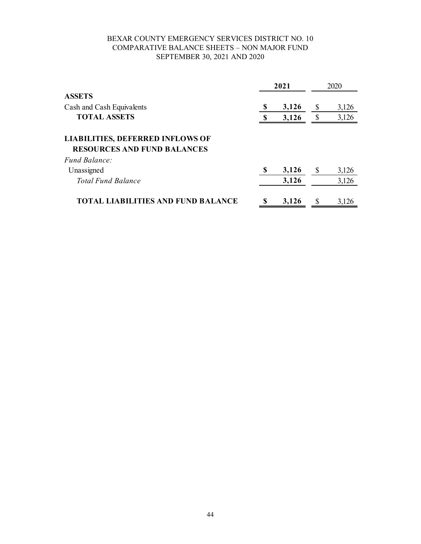# BEXAR COUNTY EMERGENCY SERVICES DISTRICT NO. 10 COMPARATIVE BALANCE SHEETS – NON MAJOR FUND SEPTEMBER 30, 2021 AND 2020

|                                                                                                                                           | 2021 |                | 2020 |       |
|-------------------------------------------------------------------------------------------------------------------------------------------|------|----------------|------|-------|
| <b>ASSETS</b>                                                                                                                             |      |                |      |       |
| Cash and Cash Equivalents                                                                                                                 | \$   | 3,126          | \$   | 3,126 |
| <b>TOTAL ASSETS</b>                                                                                                                       |      | 3,126          | S    | 3,126 |
| <b>LIABILITIES, DEFERRED INFLOWS OF</b><br><b>RESOURCES AND FUND BALANCES</b><br>Fund Balance:<br>Unassigned<br><b>Total Fund Balance</b> |      | 3,126<br>3,126 | S    | 3,126 |
|                                                                                                                                           |      |                |      | 3,126 |
| <b>TOTAL LIABILITIES AND FUND BALANCE</b>                                                                                                 |      | 3,126          | S    | 3.126 |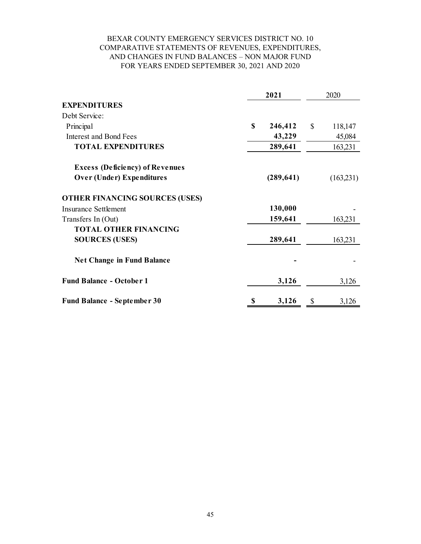# BEXAR COUNTY EMERGENCY SERVICES DISTRICT NO. 10 COMPARATIVE STATEMENTS OF REVENUES, EXPENDITURES, AND CHANGES IN FUND BALANCES – NON MAJOR FUND FOR YEARS ENDED SEPTEMBER 30, 2021 AND 2020

|                                        | 2021 |            | 2020          |           |
|----------------------------------------|------|------------|---------------|-----------|
| <b>EXPENDITURES</b>                    |      |            |               |           |
| Debt Service:                          |      |            |               |           |
| Principal                              | \$   | 246,412    | $\mathcal{S}$ | 118,147   |
| Interest and Bond Fees                 |      | 43,229     |               | 45,084    |
| <b>TOTAL EXPENDITURES</b>              |      | 289,641    |               | 163,231   |
| <b>Excess (Deficiency) of Revenues</b> |      |            |               |           |
| <b>Over (Under) Expenditures</b>       |      | (289, 641) |               | (163,231) |
| <b>OTHER FINANCING SOURCES (USES)</b>  |      |            |               |           |
| <b>Insurance Settlement</b>            |      | 130,000    |               |           |
| Transfers In (Out)                     |      | 159,641    |               | 163,231   |
| <b>TOTAL OTHER FINANCING</b>           |      |            |               |           |
| <b>SOURCES (USES)</b>                  |      | 289,641    |               | 163,231   |
| <b>Net Change in Fund Balance</b>      |      |            |               |           |
| <b>Fund Balance - October 1</b>        |      | 3,126      |               | 3,126     |
| <b>Fund Balance - September 30</b>     | \$   | 3,126      | \$            | 3,126     |